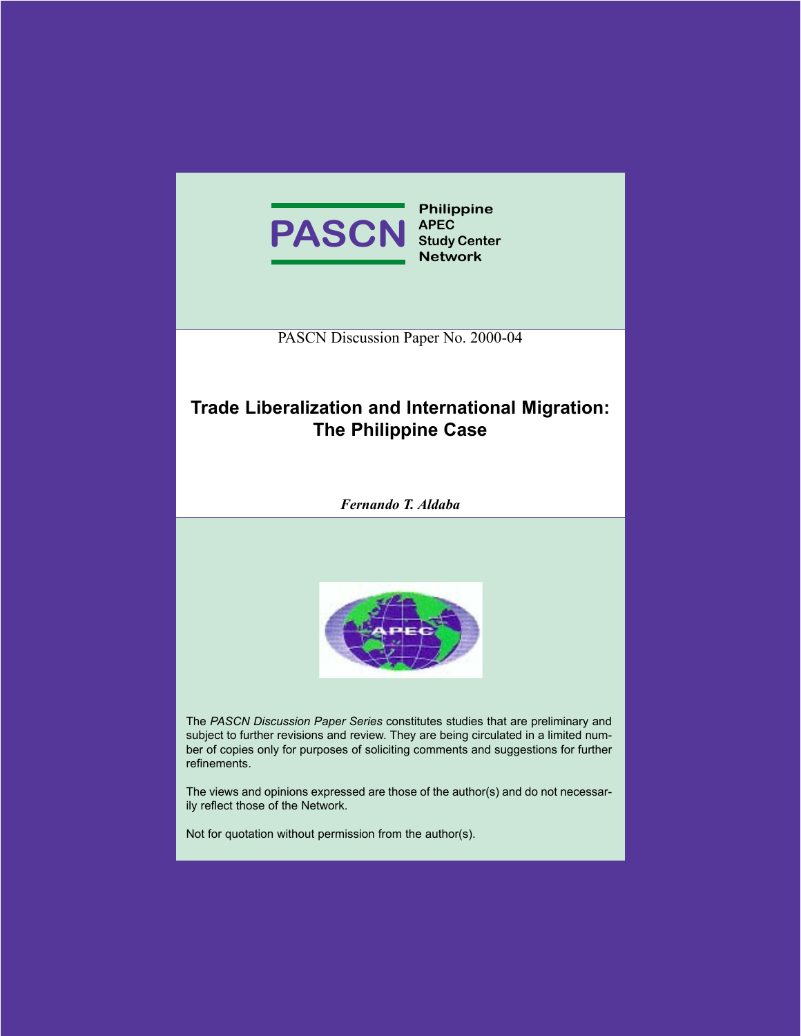

PASCN Discussion Paper No. 2000-04

# **Trade Liberalization and International Migration: The Philippine Case**

*Fernando T. Aldaba*



The *PASCN Discussion Paper Series* constitutes studies that are preliminary and subject to further revisions and review. They are being circulated in a limited number of copies only for purposes of soliciting comments and suggestions for further refinements.

The views and opinions expressed are those of the author(s) and do not necessarily reflect those of the Network.

Not for quotation without permission from the author(s).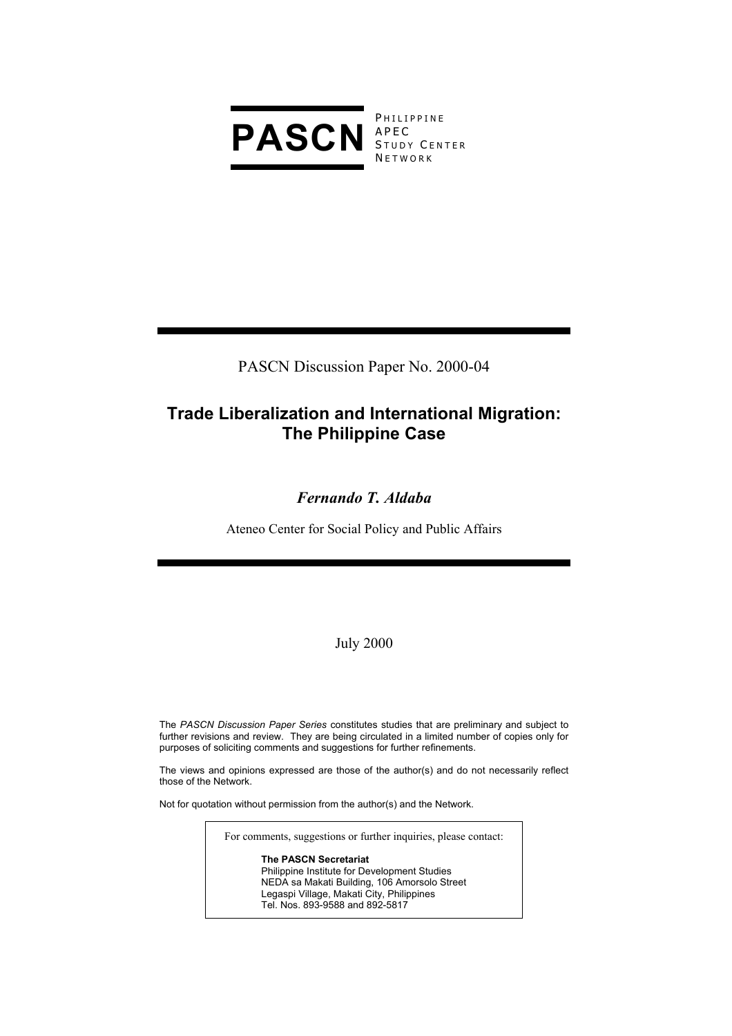

**PHILIPPINE** STUDY CENTER **NETWORK** 

PASCN Discussion Paper No. 2000-04

# **Trade Liberalization and International Migration: The Philippine Case**

# *Fernando T. Aldaba*

Ateneo Center for Social Policy and Public Affairs

July 2000

The *PASCN Discussion Paper Series* constitutes studies that are preliminary and subject to further revisions and review. They are being circulated in a limited number of copies only for purposes of soliciting comments and suggestions for further refinements.

The views and opinions expressed are those of the author(s) and do not necessarily reflect those of the Network.

Not for quotation without permission from the author(s) and the Network.

For comments, suggestions or further inquiries, please contact:

**The PASCN Secretariat** Philippine Institute for Development Studies NEDA sa Makati Building, 106 Amorsolo Street Legaspi Village, Makati City, Philippines Tel. Nos. 893-9588 and 892-5817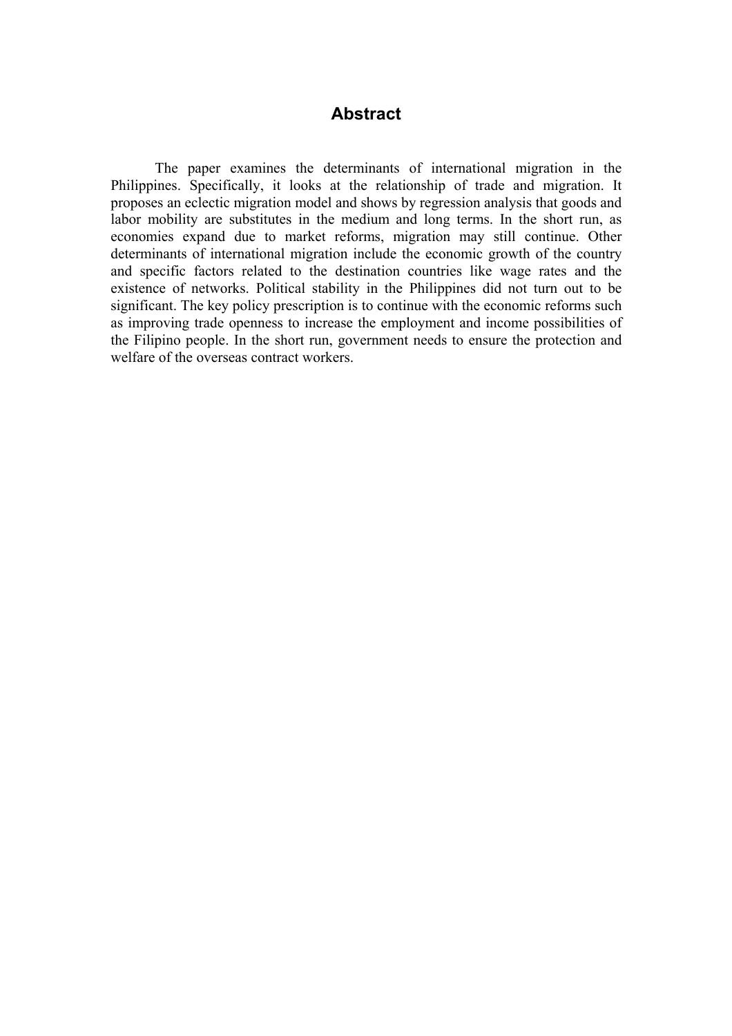# **Abstract**

The paper examines the determinants of international migration in the Philippines. Specifically, it looks at the relationship of trade and migration. It proposes an eclectic migration model and shows by regression analysis that goods and labor mobility are substitutes in the medium and long terms. In the short run, as economies expand due to market reforms, migration may still continue. Other determinants of international migration include the economic growth of the country and specific factors related to the destination countries like wage rates and the existence of networks. Political stability in the Philippines did not turn out to be significant. The key policy prescription is to continue with the economic reforms such as improving trade openness to increase the employment and income possibilities of the Filipino people. In the short run, government needs to ensure the protection and welfare of the overseas contract workers.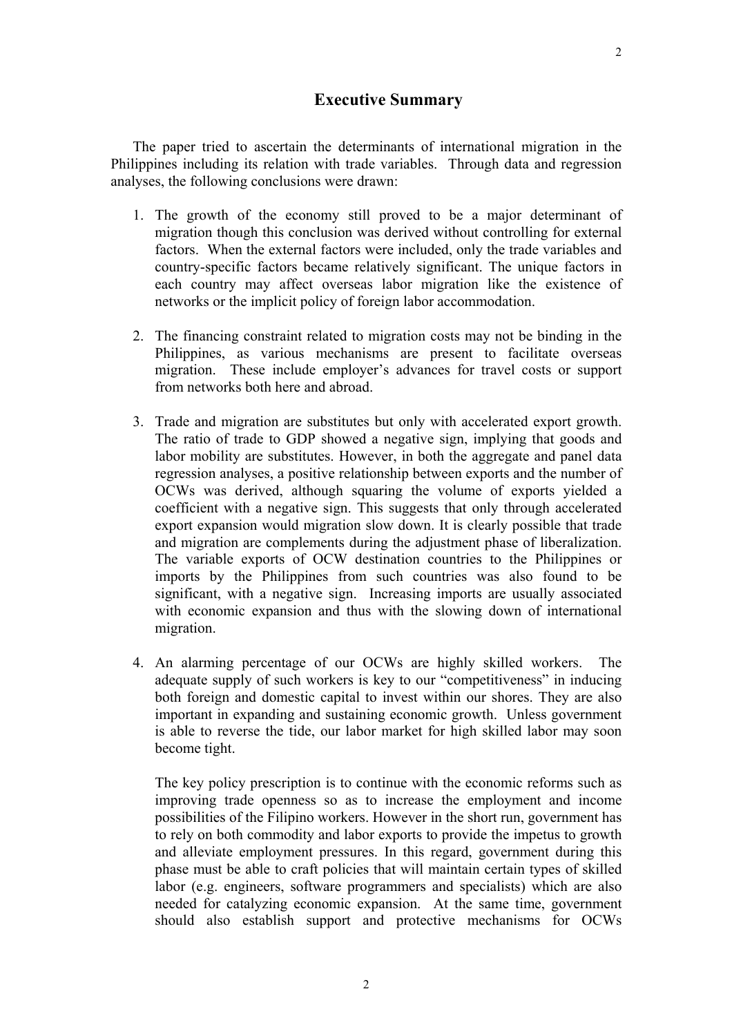## **Executive Summary**

The paper tried to ascertain the determinants of international migration in the Philippines including its relation with trade variables. Through data and regression analyses, the following conclusions were drawn:

- 1. The growth of the economy still proved to be a major determinant of migration though this conclusion was derived without controlling for external factors. When the external factors were included, only the trade variables and country-specific factors became relatively significant. The unique factors in each country may affect overseas labor migration like the existence of networks or the implicit policy of foreign labor accommodation.
- 2. The financing constraint related to migration costs may not be binding in the Philippines, as various mechanisms are present to facilitate overseas migration. These include employer's advances for travel costs or support from networks both here and abroad.
- 3. Trade and migration are substitutes but only with accelerated export growth. The ratio of trade to GDP showed a negative sign, implying that goods and labor mobility are substitutes. However, in both the aggregate and panel data regression analyses, a positive relationship between exports and the number of OCWs was derived, although squaring the volume of exports yielded a coefficient with a negative sign. This suggests that only through accelerated export expansion would migration slow down. It is clearly possible that trade and migration are complements during the adjustment phase of liberalization. The variable exports of OCW destination countries to the Philippines or imports by the Philippines from such countries was also found to be significant, with a negative sign. Increasing imports are usually associated with economic expansion and thus with the slowing down of international migration.
- 4. An alarming percentage of our OCWs are highly skilled workers. The adequate supply of such workers is key to our "competitiveness" in inducing both foreign and domestic capital to invest within our shores. They are also important in expanding and sustaining economic growth. Unless government is able to reverse the tide, our labor market for high skilled labor may soon become tight.

The key policy prescription is to continue with the economic reforms such as improving trade openness so as to increase the employment and income possibilities of the Filipino workers. However in the short run, government has to rely on both commodity and labor exports to provide the impetus to growth and alleviate employment pressures. In this regard, government during this phase must be able to craft policies that will maintain certain types of skilled labor (e.g. engineers, software programmers and specialists) which are also needed for catalyzing economic expansion. At the same time, government should also establish support and protective mechanisms for OCWs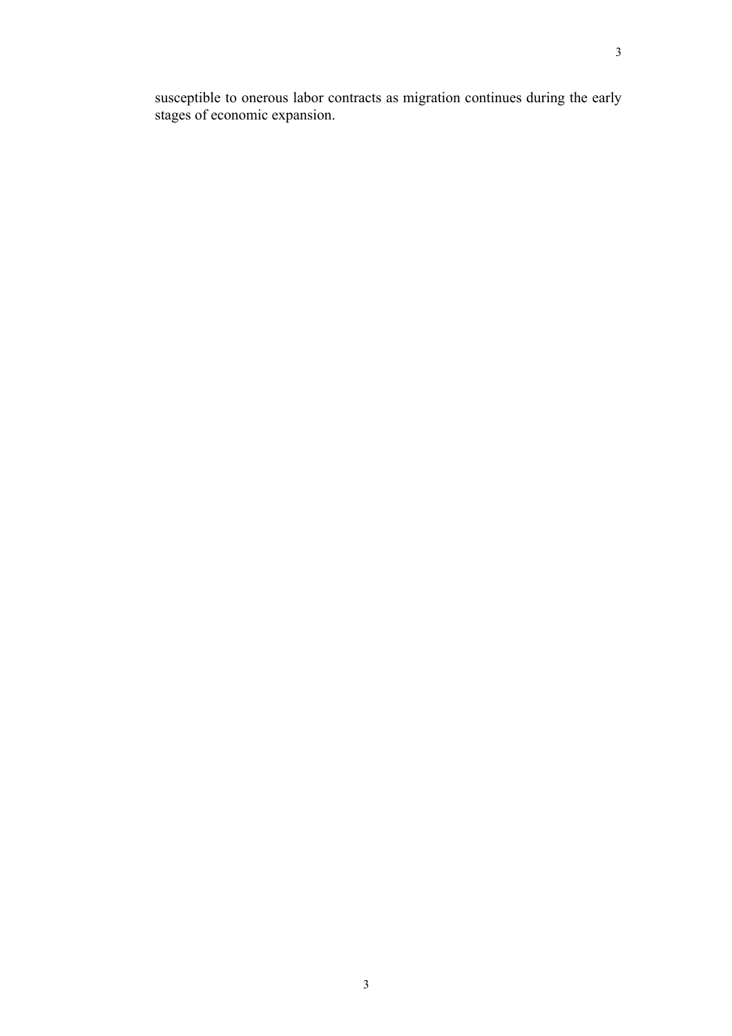susceptible to onerous labor contracts as migration continues during the early stages of economic expansion.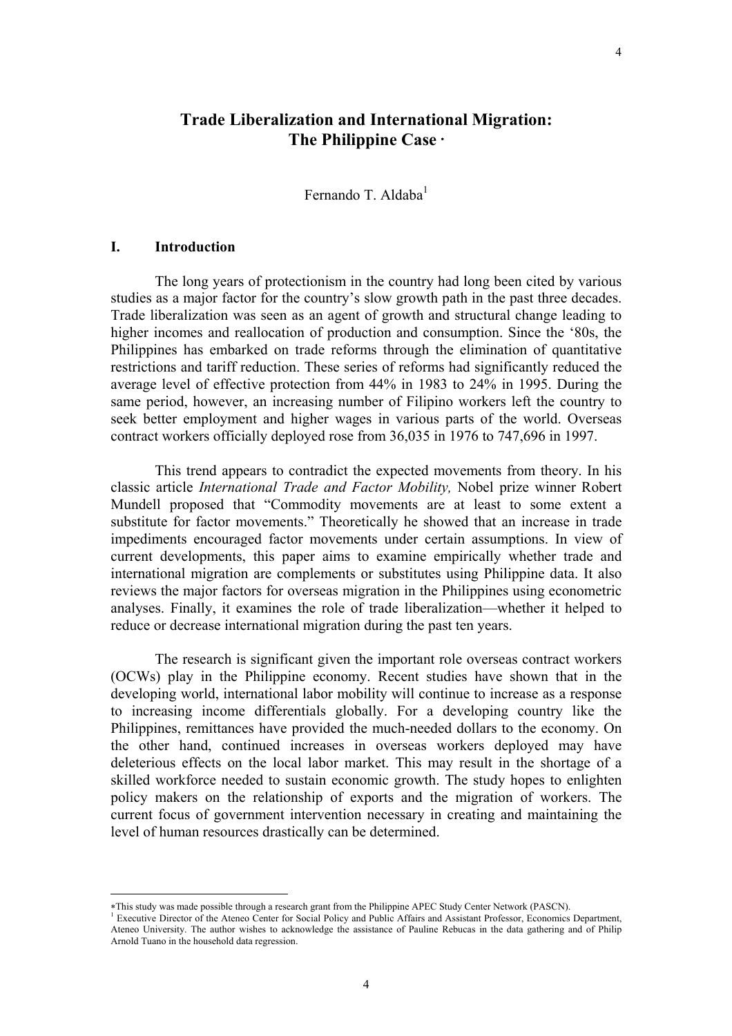# **Trade Liberalization and International Migration: The Philippine Case** <sup>∗</sup>

Fernando T. Aldaba<sup>1</sup>

### **I. Introduction**

 $\overline{a}$ 

 The long years of protectionism in the country had long been cited by various studies as a major factor for the country's slow growth path in the past three decades. Trade liberalization was seen as an agent of growth and structural change leading to higher incomes and reallocation of production and consumption. Since the '80s, the Philippines has embarked on trade reforms through the elimination of quantitative restrictions and tariff reduction. These series of reforms had significantly reduced the average level of effective protection from 44% in 1983 to 24% in 1995. During the same period, however, an increasing number of Filipino workers left the country to seek better employment and higher wages in various parts of the world. Overseas contract workers officially deployed rose from 36,035 in 1976 to 747,696 in 1997.

This trend appears to contradict the expected movements from theory. In his classic article *International Trade and Factor Mobility,* Nobel prize winner Robert Mundell proposed that "Commodity movements are at least to some extent a substitute for factor movements." Theoretically he showed that an increase in trade impediments encouraged factor movements under certain assumptions. In view of current developments, this paper aims to examine empirically whether trade and international migration are complements or substitutes using Philippine data. It also reviews the major factors for overseas migration in the Philippines using econometric analyses. Finally, it examines the role of trade liberalization—whether it helped to reduce or decrease international migration during the past ten years.

The research is significant given the important role overseas contract workers (OCWs) play in the Philippine economy. Recent studies have shown that in the developing world, international labor mobility will continue to increase as a response to increasing income differentials globally. For a developing country like the Philippines, remittances have provided the much-needed dollars to the economy. On the other hand, continued increases in overseas workers deployed may have deleterious effects on the local labor market. This may result in the shortage of a skilled workforce needed to sustain economic growth. The study hopes to enlighten policy makers on the relationship of exports and the migration of workers. The current focus of government intervention necessary in creating and maintaining the level of human resources drastically can be determined.

<sup>∗</sup>This study was made possible through a research grant from the Philippine APEC Study Center Network (PASCN). 1

Executive Director of the Ateneo Center for Social Policy and Public Affairs and Assistant Professor, Economics Department, Ateneo University. The author wishes to acknowledge the assistance of Pauline Rebucas in the data gathering and of Philip Arnold Tuano in the household data regression.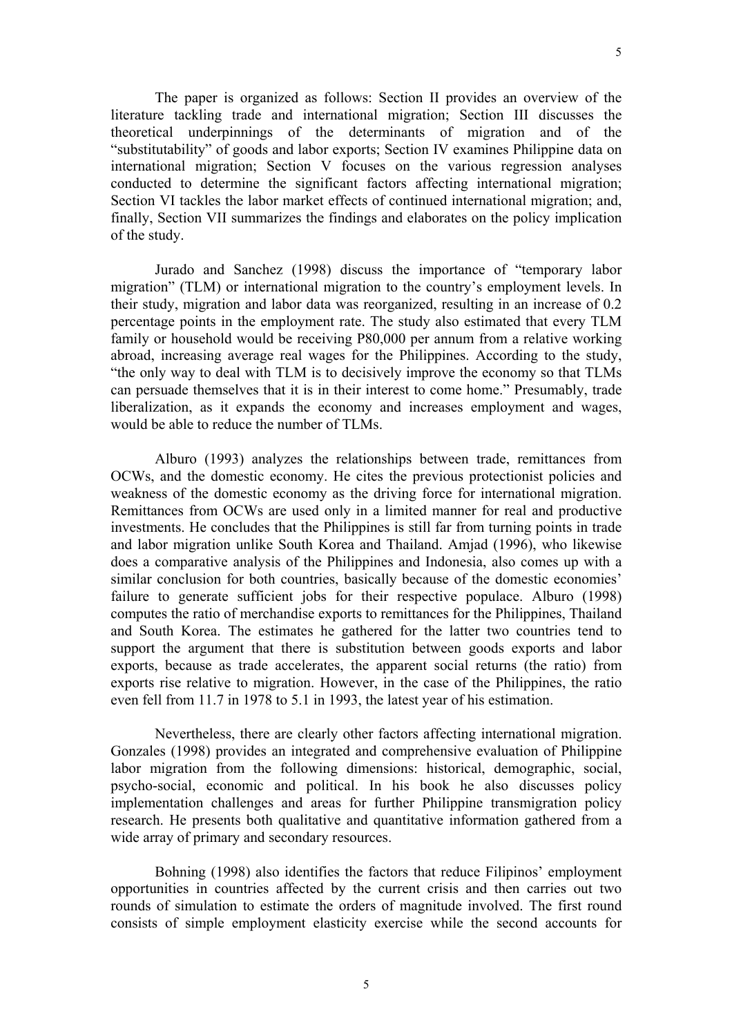The paper is organized as follows: Section II provides an overview of the literature tackling trade and international migration; Section III discusses the theoretical underpinnings of the determinants of migration and of the "substitutability" of goods and labor exports; Section IV examines Philippine data on international migration; Section V focuses on the various regression analyses conducted to determine the significant factors affecting international migration; Section VI tackles the labor market effects of continued international migration; and, finally, Section VII summarizes the findings and elaborates on the policy implication of the study.

Jurado and Sanchez (1998) discuss the importance of "temporary labor migration" (TLM) or international migration to the country's employment levels. In their study, migration and labor data was reorganized, resulting in an increase of 0.2 percentage points in the employment rate. The study also estimated that every TLM family or household would be receiving P80,000 per annum from a relative working abroad, increasing average real wages for the Philippines. According to the study, "the only way to deal with TLM is to decisively improve the economy so that TLMs can persuade themselves that it is in their interest to come home." Presumably, trade liberalization, as it expands the economy and increases employment and wages, would be able to reduce the number of TLMs.

Alburo (1993) analyzes the relationships between trade, remittances from OCWs, and the domestic economy. He cites the previous protectionist policies and weakness of the domestic economy as the driving force for international migration. Remittances from OCWs are used only in a limited manner for real and productive investments. He concludes that the Philippines is still far from turning points in trade and labor migration unlike South Korea and Thailand. Amjad (1996), who likewise does a comparative analysis of the Philippines and Indonesia, also comes up with a similar conclusion for both countries, basically because of the domestic economies' failure to generate sufficient jobs for their respective populace. Alburo (1998) computes the ratio of merchandise exports to remittances for the Philippines, Thailand and South Korea. The estimates he gathered for the latter two countries tend to support the argument that there is substitution between goods exports and labor exports, because as trade accelerates, the apparent social returns (the ratio) from exports rise relative to migration. However, in the case of the Philippines, the ratio even fell from 11.7 in 1978 to 5.1 in 1993, the latest year of his estimation.

Nevertheless, there are clearly other factors affecting international migration. Gonzales (1998) provides an integrated and comprehensive evaluation of Philippine labor migration from the following dimensions: historical, demographic, social, psycho-social, economic and political. In his book he also discusses policy implementation challenges and areas for further Philippine transmigration policy research. He presents both qualitative and quantitative information gathered from a wide array of primary and secondary resources.

Bohning (1998) also identifies the factors that reduce Filipinos' employment opportunities in countries affected by the current crisis and then carries out two rounds of simulation to estimate the orders of magnitude involved. The first round consists of simple employment elasticity exercise while the second accounts for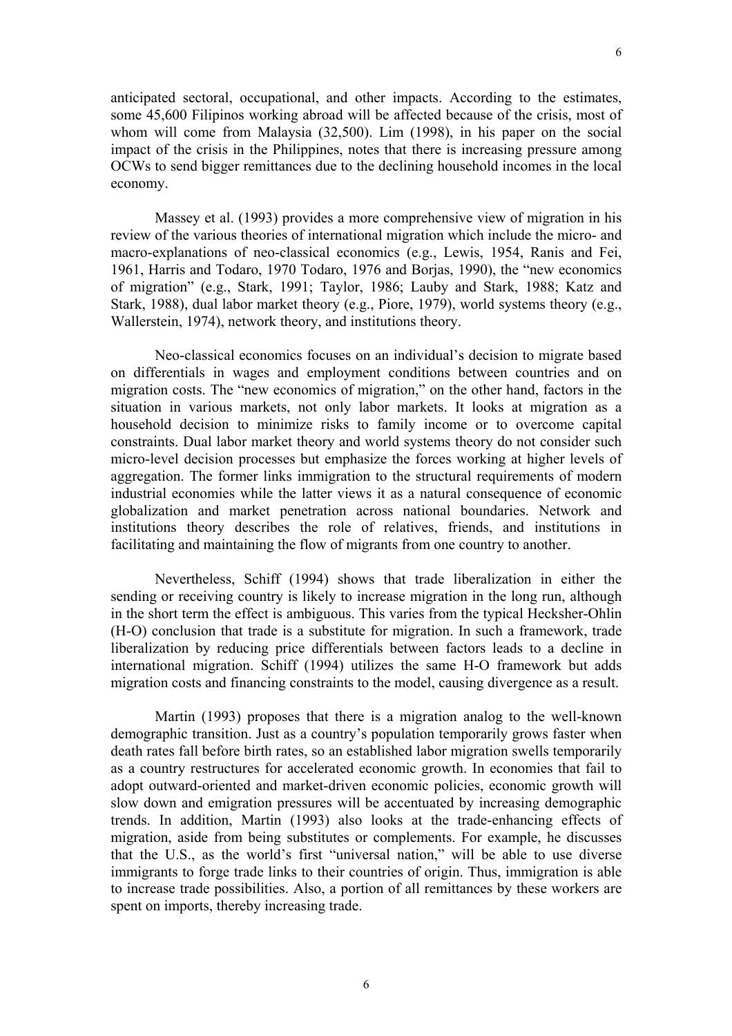anticipated sectoral, occupational, and other impacts. According to the estimates, some 45,600 Filipinos working abroad will be affected because of the crisis, most of whom will come from Malaysia (32,500). Lim (1998), in his paper on the social impact of the crisis in the Philippines, notes that there is increasing pressure among OCWs to send bigger remittances due to the declining household incomes in the local economy.

 Massey et al. (1993) provides a more comprehensive view of migration in his review of the various theories of international migration which include the micro- and macro-explanations of neo-classical economics (e.g., Lewis, 1954, Ranis and Fei, 1961, Harris and Todaro, 1970 Todaro, 1976 and Borjas, 1990), the "new economics of migration" (e.g., Stark, 1991; Taylor, 1986; Lauby and Stark, 1988; Katz and Stark, 1988), dual labor market theory (e.g., Piore, 1979), world systems theory (e.g., Wallerstein, 1974), network theory, and institutions theory.

Neo-classical economics focuses on an individual's decision to migrate based on differentials in wages and employment conditions between countries and on migration costs. The "new economics of migration," on the other hand, factors in the situation in various markets, not only labor markets. It looks at migration as a household decision to minimize risks to family income or to overcome capital constraints. Dual labor market theory and world systems theory do not consider such micro-level decision processes but emphasize the forces working at higher levels of aggregation. The former links immigration to the structural requirements of modern industrial economies while the latter views it as a natural consequence of economic globalization and market penetration across national boundaries. Network and institutions theory describes the role of relatives, friends, and institutions in facilitating and maintaining the flow of migrants from one country to another.

 Nevertheless, Schiff (1994) shows that trade liberalization in either the sending or receiving country is likely to increase migration in the long run, although in the short term the effect is ambiguous. This varies from the typical Hecksher-Ohlin (H-O) conclusion that trade is a substitute for migration. In such a framework, trade liberalization by reducing price differentials between factors leads to a decline in international migration. Schiff (1994) utilizes the same H-O framework but adds migration costs and financing constraints to the model, causing divergence as a result.

Martin (1993) proposes that there is a migration analog to the well-known demographic transition. Just as a country's population temporarily grows faster when death rates fall before birth rates, so an established labor migration swells temporarily as a country restructures for accelerated economic growth. In economies that fail to adopt outward-oriented and market-driven economic policies, economic growth will slow down and emigration pressures will be accentuated by increasing demographic trends. In addition, Martin (1993) also looks at the trade-enhancing effects of migration, aside from being substitutes or complements. For example, he discusses that the U.S., as the world's first "universal nation," will be able to use diverse immigrants to forge trade links to their countries of origin. Thus, immigration is able to increase trade possibilities. Also, a portion of all remittances by these workers are spent on imports, thereby increasing trade.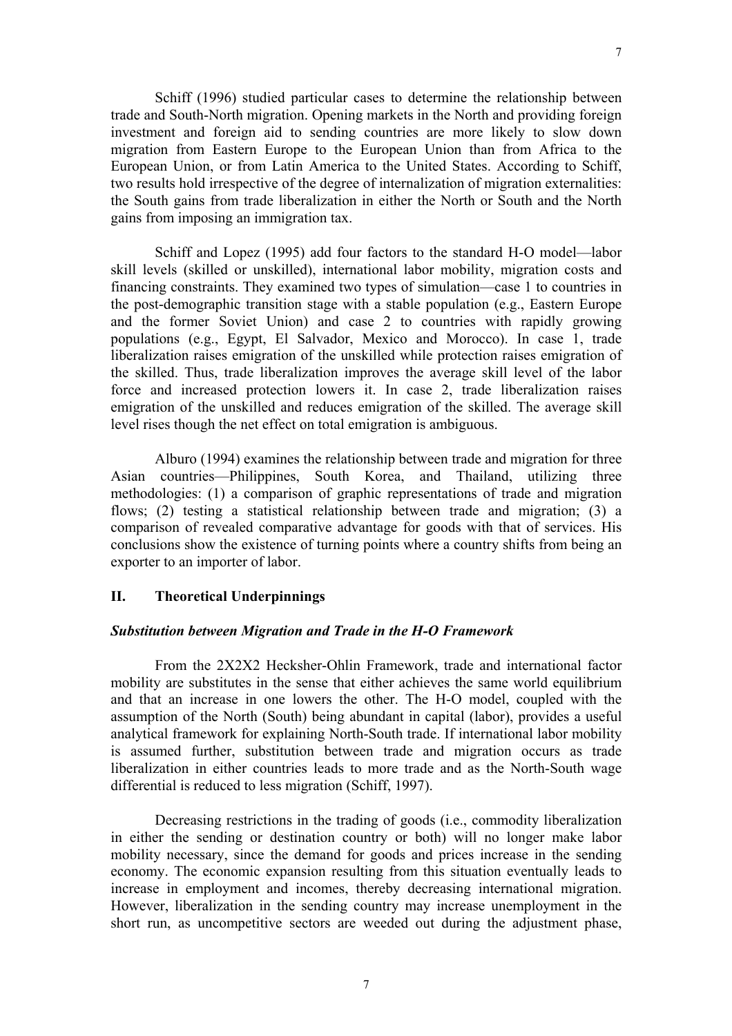Schiff (1996) studied particular cases to determine the relationship between trade and South-North migration. Opening markets in the North and providing foreign investment and foreign aid to sending countries are more likely to slow down migration from Eastern Europe to the European Union than from Africa to the European Union, or from Latin America to the United States. According to Schiff, two results hold irrespective of the degree of internalization of migration externalities: the South gains from trade liberalization in either the North or South and the North gains from imposing an immigration tax.

Schiff and Lopez (1995) add four factors to the standard H-O model—labor skill levels (skilled or unskilled), international labor mobility, migration costs and financing constraints. They examined two types of simulation—case 1 to countries in the post-demographic transition stage with a stable population (e.g., Eastern Europe and the former Soviet Union) and case 2 to countries with rapidly growing populations (e.g., Egypt, El Salvador, Mexico and Morocco). In case 1, trade liberalization raises emigration of the unskilled while protection raises emigration of the skilled. Thus, trade liberalization improves the average skill level of the labor force and increased protection lowers it. In case 2, trade liberalization raises emigration of the unskilled and reduces emigration of the skilled. The average skill level rises though the net effect on total emigration is ambiguous.

Alburo (1994) examines the relationship between trade and migration for three Asian countries—Philippines, South Korea, and Thailand, utilizing three methodologies: (1) a comparison of graphic representations of trade and migration flows; (2) testing a statistical relationship between trade and migration; (3) a comparison of revealed comparative advantage for goods with that of services. His conclusions show the existence of turning points where a country shifts from being an exporter to an importer of labor.

## **II. Theoretical Underpinnings**

### *Substitution between Migration and Trade in the H-O Framework*

From the 2X2X2 Hecksher-Ohlin Framework, trade and international factor mobility are substitutes in the sense that either achieves the same world equilibrium and that an increase in one lowers the other. The H-O model, coupled with the assumption of the North (South) being abundant in capital (labor), provides a useful analytical framework for explaining North-South trade. If international labor mobility is assumed further, substitution between trade and migration occurs as trade liberalization in either countries leads to more trade and as the North-South wage differential is reduced to less migration (Schiff, 1997).

Decreasing restrictions in the trading of goods (i.e., commodity liberalization in either the sending or destination country or both) will no longer make labor mobility necessary, since the demand for goods and prices increase in the sending economy. The economic expansion resulting from this situation eventually leads to increase in employment and incomes, thereby decreasing international migration. However, liberalization in the sending country may increase unemployment in the short run, as uncompetitive sectors are weeded out during the adjustment phase,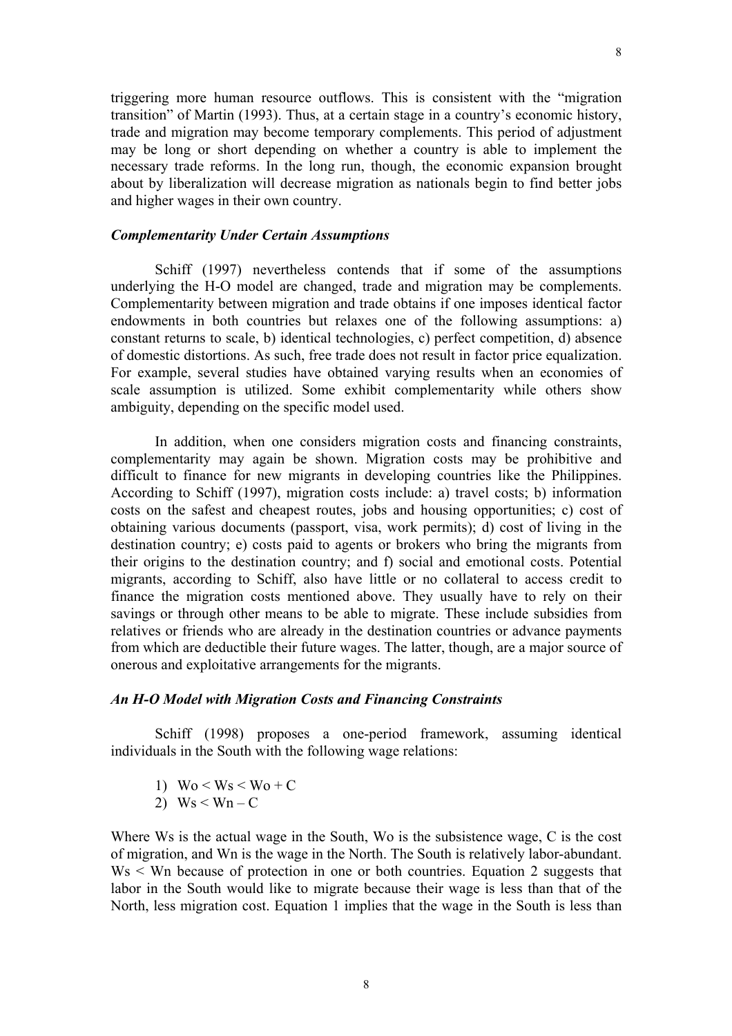triggering more human resource outflows. This is consistent with the "migration transition" of Martin (1993). Thus, at a certain stage in a country's economic history, trade and migration may become temporary complements. This period of adjustment may be long or short depending on whether a country is able to implement the necessary trade reforms. In the long run, though, the economic expansion brought about by liberalization will decrease migration as nationals begin to find better jobs and higher wages in their own country.

### *Complementarity Under Certain Assumptions*

 Schiff (1997) nevertheless contends that if some of the assumptions underlying the H-O model are changed, trade and migration may be complements. Complementarity between migration and trade obtains if one imposes identical factor endowments in both countries but relaxes one of the following assumptions: a) constant returns to scale, b) identical technologies, c) perfect competition, d) absence of domestic distortions. As such, free trade does not result in factor price equalization. For example, several studies have obtained varying results when an economies of scale assumption is utilized. Some exhibit complementarity while others show ambiguity, depending on the specific model used.

In addition, when one considers migration costs and financing constraints, complementarity may again be shown. Migration costs may be prohibitive and difficult to finance for new migrants in developing countries like the Philippines. According to Schiff (1997), migration costs include: a) travel costs; b) information costs on the safest and cheapest routes, jobs and housing opportunities; c) cost of obtaining various documents (passport, visa, work permits); d) cost of living in the destination country; e) costs paid to agents or brokers who bring the migrants from their origins to the destination country; and f) social and emotional costs. Potential migrants, according to Schiff, also have little or no collateral to access credit to finance the migration costs mentioned above. They usually have to rely on their savings or through other means to be able to migrate. These include subsidies from relatives or friends who are already in the destination countries or advance payments from which are deductible their future wages. The latter, though, are a major source of onerous and exploitative arrangements for the migrants.

### *An H-O Model with Migration Costs and Financing Constraints*

Schiff (1998) proposes a one-period framework, assuming identical individuals in the South with the following wage relations:

- 1)  $W_0 < W_s < W_0 + C$
- 2)  $Ws < Wn C$

Where Ws is the actual wage in the South, Wo is the subsistence wage, C is the cost of migration, and Wn is the wage in the North. The South is relatively labor-abundant. Ws < Wn because of protection in one or both countries. Equation 2 suggests that labor in the South would like to migrate because their wage is less than that of the North, less migration cost. Equation 1 implies that the wage in the South is less than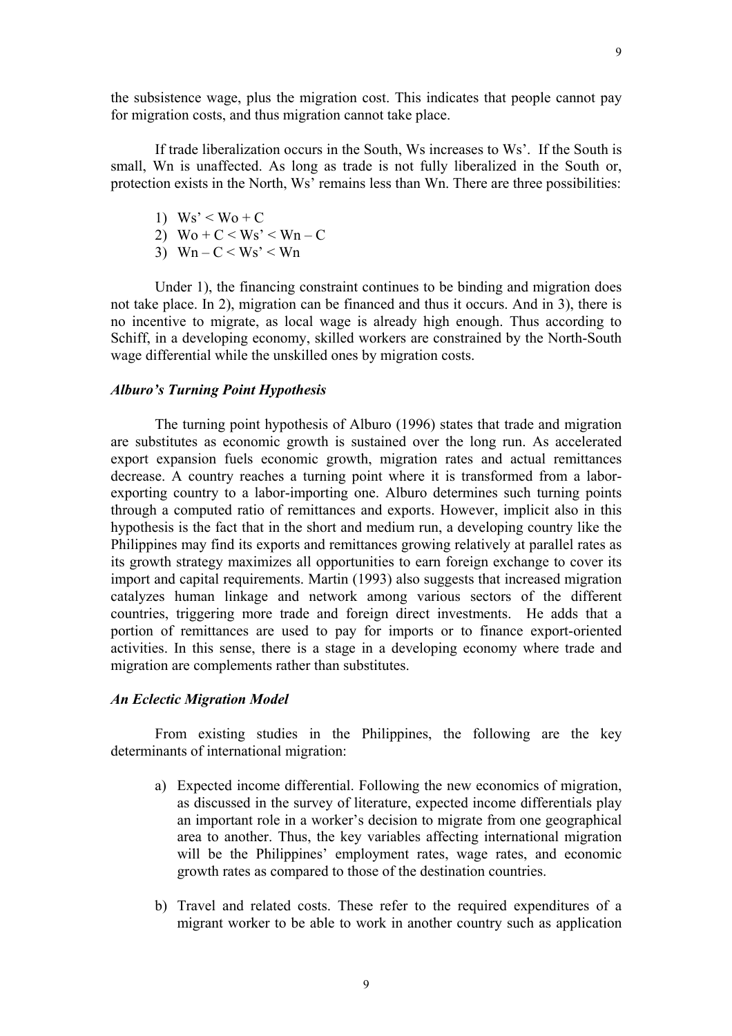9

the subsistence wage, plus the migration cost. This indicates that people cannot pay for migration costs, and thus migration cannot take place.

If trade liberalization occurs in the South, Ws increases to Ws'. If the South is small, Wn is unaffected. As long as trade is not fully liberalized in the South or, protection exists in the North, Ws' remains less than Wn. There are three possibilities:

- 1)  $Ws' < W_0 + C$
- 2)  $\text{Wo} + \text{C} < \text{Ws'} < \text{Wn} \text{C}$
- 3)  $Wn C < Ws' < Wn$

Under 1), the financing constraint continues to be binding and migration does not take place. In 2), migration can be financed and thus it occurs. And in 3), there is no incentive to migrate, as local wage is already high enough. Thus according to Schiff, in a developing economy, skilled workers are constrained by the North-South wage differential while the unskilled ones by migration costs.

### *Alburo's Turning Point Hypothesis*

The turning point hypothesis of Alburo (1996) states that trade and migration are substitutes as economic growth is sustained over the long run. As accelerated export expansion fuels economic growth, migration rates and actual remittances decrease. A country reaches a turning point where it is transformed from a laborexporting country to a labor-importing one. Alburo determines such turning points through a computed ratio of remittances and exports. However, implicit also in this hypothesis is the fact that in the short and medium run, a developing country like the Philippines may find its exports and remittances growing relatively at parallel rates as its growth strategy maximizes all opportunities to earn foreign exchange to cover its import and capital requirements. Martin (1993) also suggests that increased migration catalyzes human linkage and network among various sectors of the different countries, triggering more trade and foreign direct investments. He adds that a portion of remittances are used to pay for imports or to finance export-oriented activities. In this sense, there is a stage in a developing economy where trade and migration are complements rather than substitutes.

### *An Eclectic Migration Model*

From existing studies in the Philippines, the following are the key determinants of international migration:

- a) Expected income differential. Following the new economics of migration, as discussed in the survey of literature, expected income differentials play an important role in a worker's decision to migrate from one geographical area to another. Thus, the key variables affecting international migration will be the Philippines' employment rates, wage rates, and economic growth rates as compared to those of the destination countries.
- b) Travel and related costs. These refer to the required expenditures of a migrant worker to be able to work in another country such as application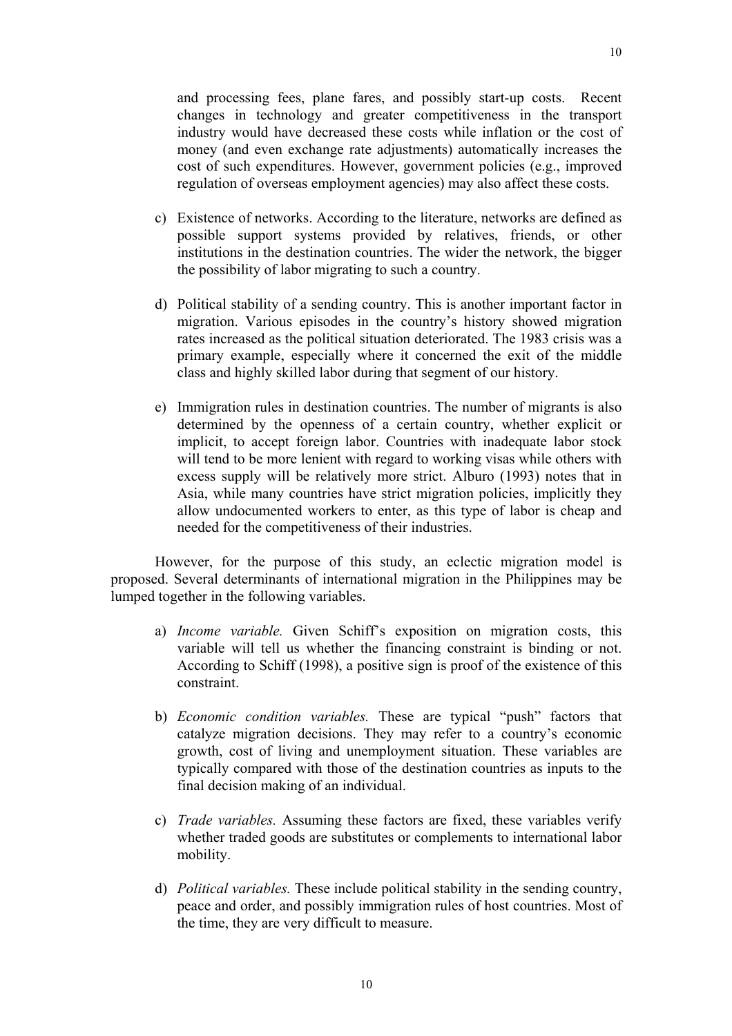and processing fees, plane fares, and possibly start-up costs. Recent changes in technology and greater competitiveness in the transport industry would have decreased these costs while inflation or the cost of money (and even exchange rate adjustments) automatically increases the cost of such expenditures. However, government policies (e.g., improved regulation of overseas employment agencies) may also affect these costs.

- c) Existence of networks. According to the literature, networks are defined as possible support systems provided by relatives, friends, or other institutions in the destination countries. The wider the network, the bigger the possibility of labor migrating to such a country.
- d) Political stability of a sending country. This is another important factor in migration. Various episodes in the country's history showed migration rates increased as the political situation deteriorated. The 1983 crisis was a primary example, especially where it concerned the exit of the middle class and highly skilled labor during that segment of our history.
- e) Immigration rules in destination countries. The number of migrants is also determined by the openness of a certain country, whether explicit or implicit, to accept foreign labor. Countries with inadequate labor stock will tend to be more lenient with regard to working visas while others with excess supply will be relatively more strict. Alburo (1993) notes that in Asia, while many countries have strict migration policies, implicitly they allow undocumented workers to enter, as this type of labor is cheap and needed for the competitiveness of their industries.

However, for the purpose of this study, an eclectic migration model is proposed. Several determinants of international migration in the Philippines may be lumped together in the following variables.

- a) *Income variable.* Given Schiff's exposition on migration costs, this variable will tell us whether the financing constraint is binding or not. According to Schiff (1998), a positive sign is proof of the existence of this constraint.
- b) *Economic condition variables.* These are typical "push" factors that catalyze migration decisions. They may refer to a country's economic growth, cost of living and unemployment situation. These variables are typically compared with those of the destination countries as inputs to the final decision making of an individual.
- c) *Trade variables.* Assuming these factors are fixed, these variables verify whether traded goods are substitutes or complements to international labor mobility.
- d) *Political variables.* These include political stability in the sending country, peace and order, and possibly immigration rules of host countries. Most of the time, they are very difficult to measure.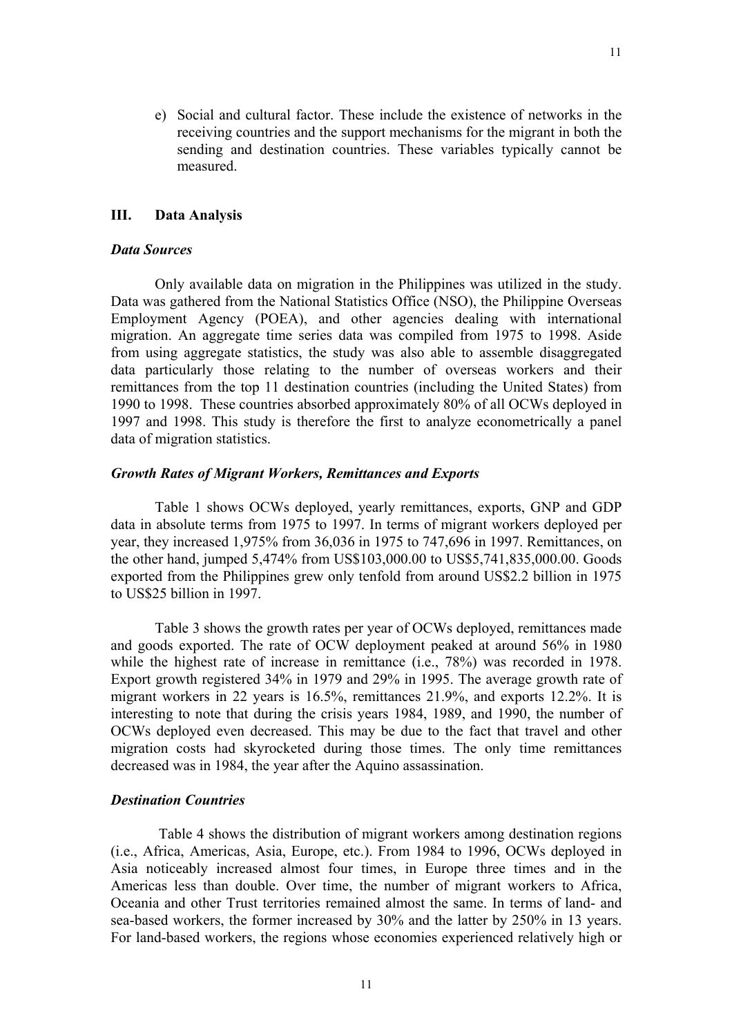e) Social and cultural factor. These include the existence of networks in the receiving countries and the support mechanisms for the migrant in both the sending and destination countries. These variables typically cannot be measured.

### **III. Data Analysis**

### *Data Sources*

Only available data on migration in the Philippines was utilized in the study. Data was gathered from the National Statistics Office (NSO), the Philippine Overseas Employment Agency (POEA), and other agencies dealing with international migration. An aggregate time series data was compiled from 1975 to 1998. Aside from using aggregate statistics, the study was also able to assemble disaggregated data particularly those relating to the number of overseas workers and their remittances from the top 11 destination countries (including the United States) from 1990 to 1998. These countries absorbed approximately 80% of all OCWs deployed in 1997 and 1998. This study is therefore the first to analyze econometrically a panel data of migration statistics.

### *Growth Rates of Migrant Workers, Remittances and Exports*

Table 1 shows OCWs deployed, yearly remittances, exports, GNP and GDP data in absolute terms from 1975 to 1997. In terms of migrant workers deployed per year, they increased 1,975% from 36,036 in 1975 to 747,696 in 1997. Remittances, on the other hand, jumped 5,474% from US\$103,000.00 to US\$5,741,835,000.00. Goods exported from the Philippines grew only tenfold from around US\$2.2 billion in 1975 to US\$25 billion in 1997.

Table 3 shows the growth rates per year of OCWs deployed, remittances made and goods exported. The rate of OCW deployment peaked at around 56% in 1980 while the highest rate of increase in remittance (i.e., 78%) was recorded in 1978. Export growth registered 34% in 1979 and 29% in 1995. The average growth rate of migrant workers in 22 years is 16.5%, remittances 21.9%, and exports 12.2%. It is interesting to note that during the crisis years 1984, 1989, and 1990, the number of OCWs deployed even decreased. This may be due to the fact that travel and other migration costs had skyrocketed during those times. The only time remittances decreased was in 1984, the year after the Aquino assassination.

### *Destination Countries*

Table 4 shows the distribution of migrant workers among destination regions (i.e., Africa, Americas, Asia, Europe, etc.). From 1984 to 1996, OCWs deployed in Asia noticeably increased almost four times, in Europe three times and in the Americas less than double. Over time, the number of migrant workers to Africa, Oceania and other Trust territories remained almost the same. In terms of land- and sea-based workers, the former increased by 30% and the latter by 250% in 13 years. For land-based workers, the regions whose economies experienced relatively high or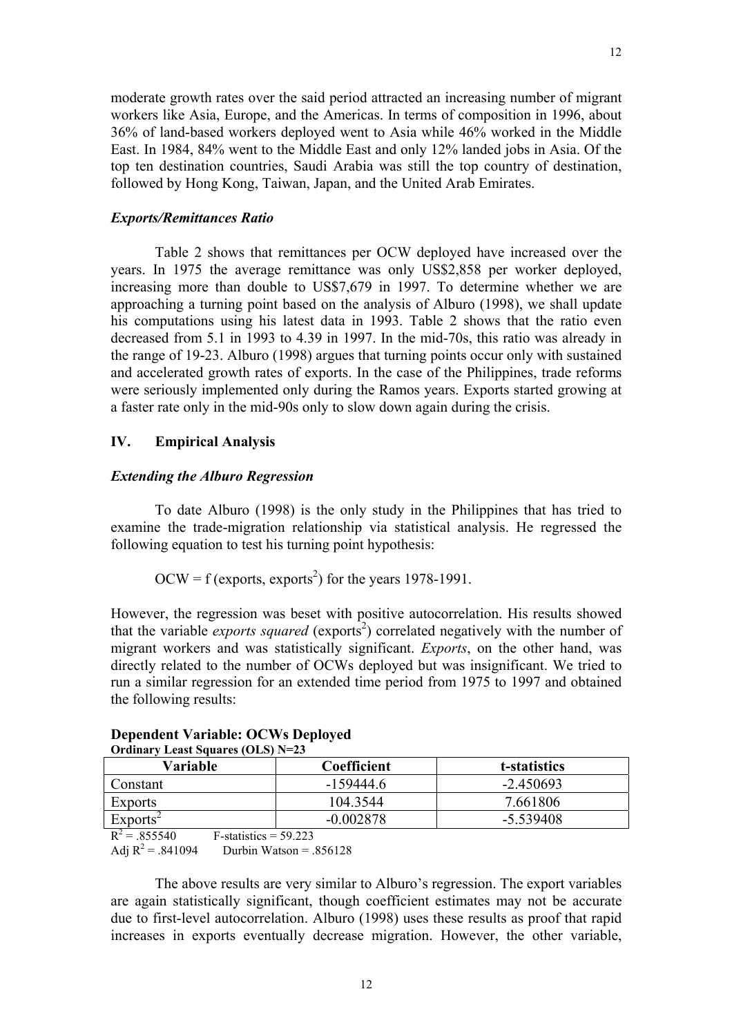moderate growth rates over the said period attracted an increasing number of migrant workers like Asia, Europe, and the Americas. In terms of composition in 1996, about 36% of land-based workers deployed went to Asia while 46% worked in the Middle East. In 1984, 84% went to the Middle East and only 12% landed jobs in Asia. Of the top ten destination countries, Saudi Arabia was still the top country of destination, followed by Hong Kong, Taiwan, Japan, and the United Arab Emirates.

### *Exports/Remittances Ratio*

Table 2 shows that remittances per OCW deployed have increased over the years. In 1975 the average remittance was only US\$2,858 per worker deployed, increasing more than double to US\$7,679 in 1997. To determine whether we are approaching a turning point based on the analysis of Alburo (1998), we shall update his computations using his latest data in 1993. Table 2 shows that the ratio even decreased from 5.1 in 1993 to 4.39 in 1997. In the mid-70s, this ratio was already in the range of 19-23. Alburo (1998) argues that turning points occur only with sustained and accelerated growth rates of exports. In the case of the Philippines, trade reforms were seriously implemented only during the Ramos years. Exports started growing at a faster rate only in the mid-90s only to slow down again during the crisis.

## **IV. Empirical Analysis**

### *Extending the Alburo Regression*

To date Alburo (1998) is the only study in the Philippines that has tried to examine the trade-migration relationship via statistical analysis. He regressed the following equation to test his turning point hypothesis:

$$
OCW = f (exports, exports2) for the years 1978-1991.
$$

However, the regression was beset with positive autocorrelation. His results showed that the variable *exports squared* (exports<sup>2</sup>) correlated negatively with the number of migrant workers and was statistically significant. *Exports*, on the other hand, was directly related to the number of OCWs deployed but was insignificant. We tried to run a similar regression for an extended time period from 1975 to 1997 and obtained the following results:

| Variable             | Coefficient | t-statistics |  |  |  |  |  |
|----------------------|-------------|--------------|--|--|--|--|--|
| Constant             | -159444.6   | $-2.450693$  |  |  |  |  |  |
| <b>Exports</b>       | 104 3544    | 7.661806     |  |  |  |  |  |
| Exports <sup>2</sup> | $-0.002878$ | -5.539408    |  |  |  |  |  |
|                      | .           |              |  |  |  |  |  |

### **Dependent Variable: OCWs Deployed Ordinary Least Squares (OLS) N=23**

 $R^2 = .855540$  $F-statistics = 59.223$ Adj  $R^2 = .841094$ Durbin Watson =  $.856128$ 

The above results are very similar to Alburo's regression. The export variables are again statistically significant, though coefficient estimates may not be accurate due to first-level autocorrelation. Alburo (1998) uses these results as proof that rapid increases in exports eventually decrease migration. However, the other variable,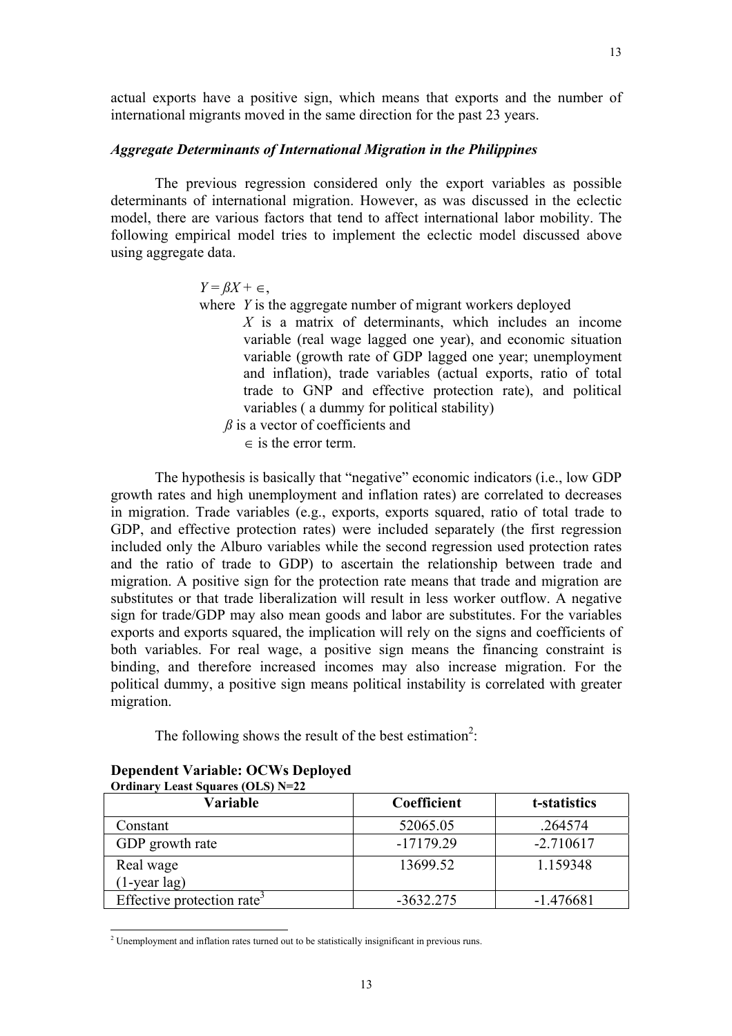### *Aggregate Determinants of International Migration in the Philippines*

The previous regression considered only the export variables as possible determinants of international migration. However, as was discussed in the eclectic model, there are various factors that tend to affect international labor mobility. The following empirical model tries to implement the eclectic model discussed above using aggregate data.

 $Y = \beta X + \epsilon$ ,

where *Y* is the aggregate number of migrant workers deployed

*X* is a matrix of determinants, which includes an income variable (real wage lagged one year), and economic situation variable (growth rate of GDP lagged one year; unemployment and inflation), trade variables (actual exports, ratio of total trade to GNP and effective protection rate), and political variables ( a dummy for political stability)

*B* is a vector of coefficients and

 $\epsilon$  is the error term.

 The hypothesis is basically that "negative" economic indicators (i.e., low GDP growth rates and high unemployment and inflation rates) are correlated to decreases in migration. Trade variables (e.g., exports, exports squared, ratio of total trade to GDP, and effective protection rates) were included separately (the first regression included only the Alburo variables while the second regression used protection rates and the ratio of trade to GDP) to ascertain the relationship between trade and migration. A positive sign for the protection rate means that trade and migration are substitutes or that trade liberalization will result in less worker outflow. A negative sign for trade/GDP may also mean goods and labor are substitutes. For the variables exports and exports squared, the implication will rely on the signs and coefficients of both variables. For real wage, a positive sign means the financing constraint is binding, and therefore increased incomes may also increase migration. For the political dummy, a positive sign means political instability is correlated with greater migration.

The following shows the result of the best estimation<sup>2</sup>:

| <b>Ordinary Least Squares (OLS) N=22</b> |             |              |  |  |  |  |  |
|------------------------------------------|-------------|--------------|--|--|--|--|--|
| Variable                                 | Coefficient | t-statistics |  |  |  |  |  |
| Constant                                 | 52065.05    | .264574      |  |  |  |  |  |
| GDP growth rate                          | $-17179.29$ | $-2.710617$  |  |  |  |  |  |
| Real wage                                | 13699.52    | 1.159348     |  |  |  |  |  |
| $(1 - year \, lag)$                      |             |              |  |  |  |  |  |
| Effective protection rate <sup>3</sup>   | $-3632.275$ | $-1.476681$  |  |  |  |  |  |

## **Dependent Variable: OCWs Deployed**

 2 Unemployment and inflation rates turned out to be statistically insignificant in previous runs.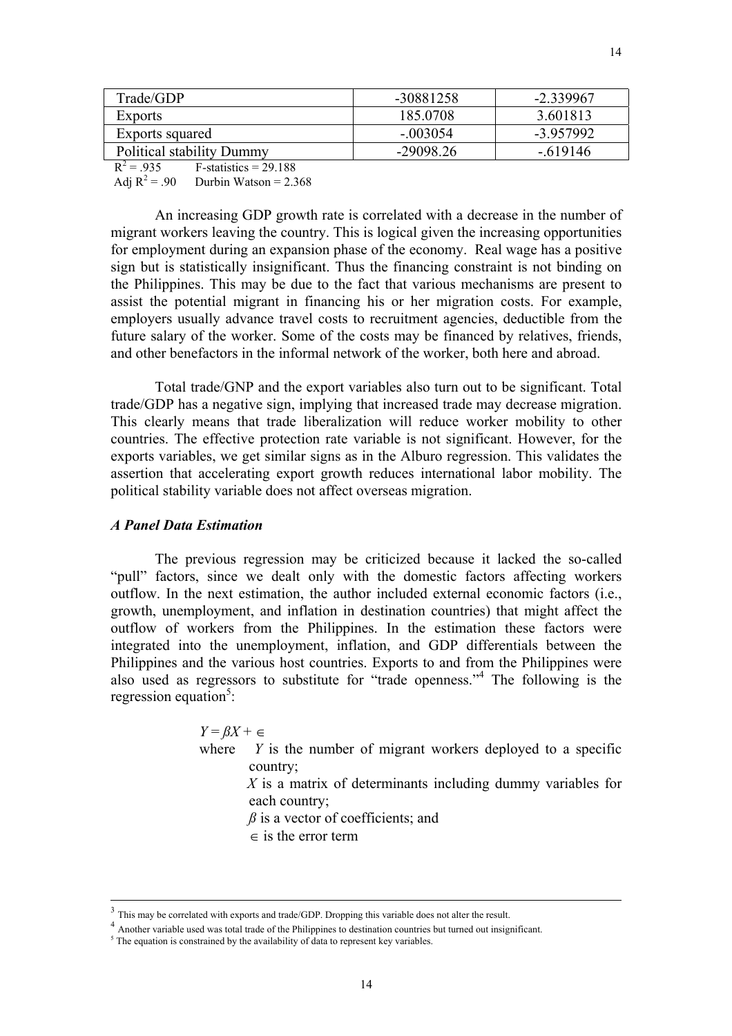| Trade/GDP                        | -30881258   | $-2.339967$ |
|----------------------------------|-------------|-------------|
| <b>Exports</b>                   | 185 0708    | 3.601813    |
| Exports squared                  | $-003054$   | -3 957992   |
| <b>Political stability Dummy</b> | $-29098.26$ | - 619146    |

 $R^2 = 935$  $F-statistics = 29.188$ Adj  $R^2 = .90$ Durbin Watson  $= 2.368$ 

An increasing GDP growth rate is correlated with a decrease in the number of migrant workers leaving the country. This is logical given the increasing opportunities for employment during an expansion phase of the economy. Real wage has a positive sign but is statistically insignificant. Thus the financing constraint is not binding on the Philippines. This may be due to the fact that various mechanisms are present to assist the potential migrant in financing his or her migration costs. For example, employers usually advance travel costs to recruitment agencies, deductible from the future salary of the worker. Some of the costs may be financed by relatives, friends, and other benefactors in the informal network of the worker, both here and abroad.

Total trade/GNP and the export variables also turn out to be significant. Total trade/GDP has a negative sign, implying that increased trade may decrease migration. This clearly means that trade liberalization will reduce worker mobility to other countries. The effective protection rate variable is not significant. However, for the exports variables, we get similar signs as in the Alburo regression. This validates the assertion that accelerating export growth reduces international labor mobility. The political stability variable does not affect overseas migration.

### *A Panel Data Estimation*

 $\overline{a}$ 

The previous regression may be criticized because it lacked the so-called "pull" factors, since we dealt only with the domestic factors affecting workers outflow. In the next estimation, the author included external economic factors (i.e., growth, unemployment, and inflation in destination countries) that might affect the outflow of workers from the Philippines. In the estimation these factors were integrated into the unemployment, inflation, and GDP differentials between the Philippines and the various host countries. Exports to and from the Philippines were also used as regressors to substitute for "trade openness."4 The following is the regression equation<sup>5</sup>:

> $Y = \beta X + \epsilon$ where *Y* is the number of migrant workers deployed to a specific country;  *X* is a matrix of determinants including dummy variables for each country;

> > $\beta$  is a vector of coefficients; and

 $\epsilon$  is the error term

 $3$  This may be correlated with exports and trade/GDP. Dropping this variable does not alter the result.  $4$  Another variable used was total trade of the Philippines to destination countries but turned out insignificant.

 $<sup>5</sup>$  The equation is constrained by the availability of data to represent key variables.</sup>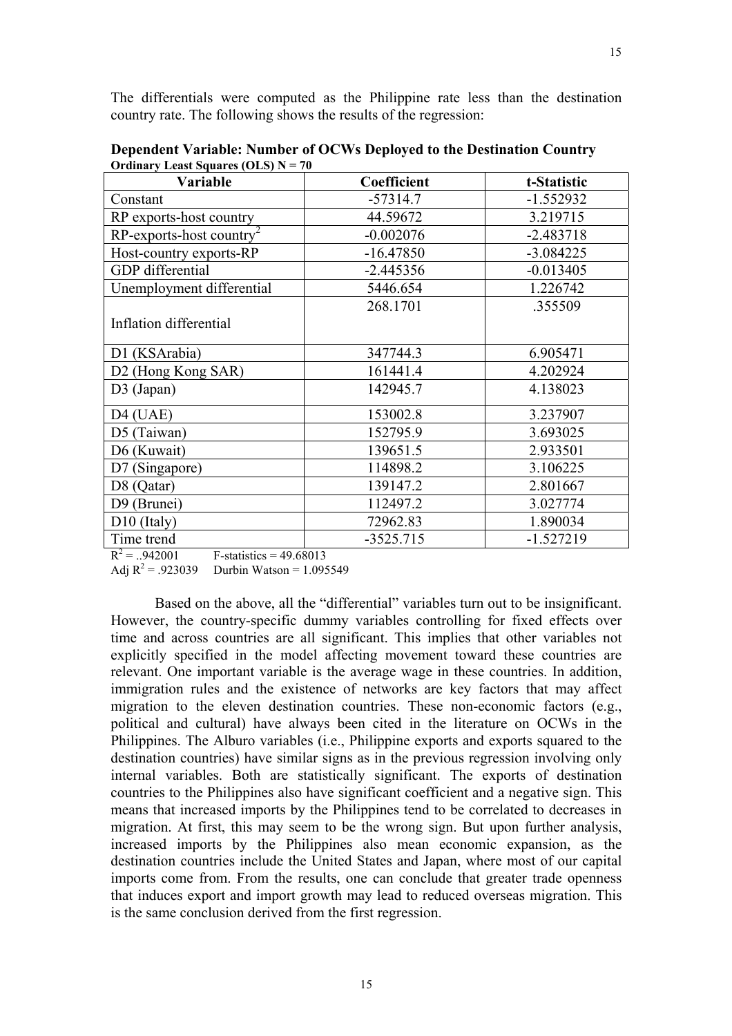| Variable                                | Coefficient | t-Statistic |
|-----------------------------------------|-------------|-------------|
| Constant                                | $-57314.7$  | $-1.552932$ |
| RP exports-host country                 | 44.59672    | 3.219715    |
| $RP$ -exports-host country <sup>2</sup> | $-0.002076$ | $-2.483718$ |
| Host-country exports-RP                 | $-16.47850$ | $-3.084225$ |
| <b>GDP</b> differential                 | $-2.445356$ | $-0.013405$ |
| Unemployment differential               | 5446.654    | 1.226742    |
|                                         | 268.1701    | .355509     |
| Inflation differential                  |             |             |
| D1 (KSArabia)                           | 347744.3    | 6.905471    |
| D <sub>2</sub> (Hong Kong SAR)          | 161441.4    | 4.202924    |
| $D3$ (Japan)                            | 142945.7    | 4.138023    |
| $D4$ (UAE)                              | 153002.8    | 3.237907    |
| D5 (Taiwan)                             | 152795.9    | 3.693025    |
| D6 (Kuwait)                             | 139651.5    | 2.933501    |
| D7 (Singapore)                          | 114898.2    | 3.106225    |
| D8 (Qatar)                              | 139147.2    | 2.801667    |
| D9 (Brunei)                             | 112497.2    | 3.027774    |
| $D10$ (Italy)                           | 72962.83    | 1.890034    |
| Time trend                              | $-3525.715$ | $-1.527219$ |

**Dependent Variable: Number of OCWs Deployed to the Destination Country Ordinary Least Squares (OLS) N = 70** 

 $R^2 = .942001$  $F-statistics = 49.68013$ 

Adj  $R^2 = .923039$  Durbin Watson = 1.095549

Based on the above, all the "differential" variables turn out to be insignificant. However, the country-specific dummy variables controlling for fixed effects over time and across countries are all significant. This implies that other variables not explicitly specified in the model affecting movement toward these countries are relevant. One important variable is the average wage in these countries. In addition, immigration rules and the existence of networks are key factors that may affect migration to the eleven destination countries. These non-economic factors (e.g., political and cultural) have always been cited in the literature on OCWs in the Philippines. The Alburo variables (i.e., Philippine exports and exports squared to the destination countries) have similar signs as in the previous regression involving only internal variables. Both are statistically significant. The exports of destination countries to the Philippines also have significant coefficient and a negative sign. This means that increased imports by the Philippines tend to be correlated to decreases in migration. At first, this may seem to be the wrong sign. But upon further analysis, increased imports by the Philippines also mean economic expansion, as the destination countries include the United States and Japan, where most of our capital imports come from. From the results, one can conclude that greater trade openness that induces export and import growth may lead to reduced overseas migration. This is the same conclusion derived from the first regression.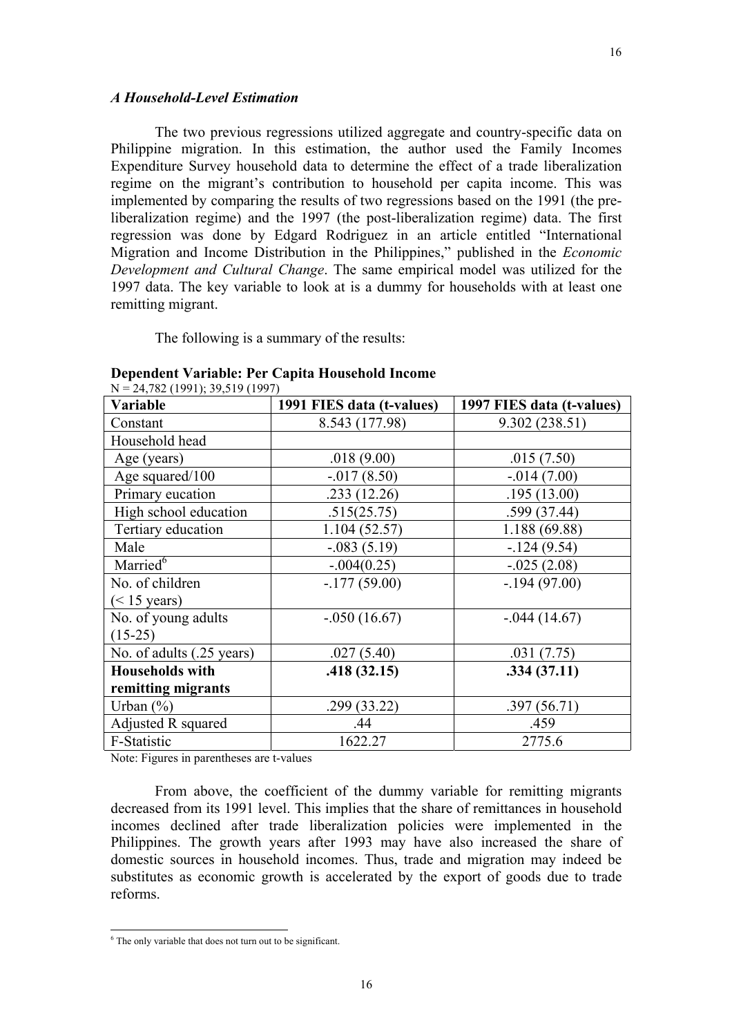The two previous regressions utilized aggregate and country-specific data on Philippine migration. In this estimation, the author used the Family Incomes Expenditure Survey household data to determine the effect of a trade liberalization regime on the migrant's contribution to household per capita income. This was implemented by comparing the results of two regressions based on the 1991 (the preliberalization regime) and the 1997 (the post-liberalization regime) data. The first regression was done by Edgard Rodriguez in an article entitled "International Migration and Income Distribution in the Philippines," published in the *Economic Development and Cultural Change*. The same empirical model was utilized for the 1997 data. The key variable to look at is a dummy for households with at least one remitting migrant.

The following is a summary of the results:

| $11 - 21, 02 (1221), 22, 012 (1221)$<br>Variable | 1991 FIES data (t-values) | 1997 FIES data (t-values) |
|--------------------------------------------------|---------------------------|---------------------------|
| Constant                                         | 8.543 (177.98)            | 9.302(238.51)             |
| Household head                                   |                           |                           |
| Age (years)                                      | .018(9.00)                | .015(7.50)                |
| Age squared/100                                  | $-0.017(8.50)$            | $-0.014(7.00)$            |
| Primary eucation                                 | .233(12.26)               | .195(13.00)               |
| High school education                            | .515(25.75)               | .599(37.44)               |
| Tertiary education                               | 1.104(52.57)              | 1.188 (69.88)             |
| Male                                             | $-.083(5.19)$             | $-124(9.54)$              |
| Married <sup>6</sup>                             | $-.004(0.25)$             | $-.025(2.08)$             |
| No. of children                                  | $-177(59.00)$             | $-194(97.00)$             |
| $(< 15$ years)                                   |                           |                           |
| No. of young adults                              | $-.050(16.67)$            | $-0.044(14.67)$           |
| $(15-25)$                                        |                           |                           |
| No. of adults (.25 years)                        | .027(5.40)                | .031(7.75)                |
| <b>Households with</b>                           | .418(32.15)               | .334(37.11)               |
| remitting migrants                               |                           |                           |
| Urban $(\%)$                                     | .299(33.22)               | .397(56.71)               |
| Adjusted R squared                               | .44                       | .459                      |
| F-Statistic                                      | 1622.27                   | 2775.6                    |

### **Dependent Variable: Per Capita Household Income**   $N = 24,782, (1991)$ ; 39,519 (1997)

Note: Figures in parentheses are t-values

 From above, the coefficient of the dummy variable for remitting migrants decreased from its 1991 level. This implies that the share of remittances in household incomes declined after trade liberalization policies were implemented in the Philippines. The growth years after 1993 may have also increased the share of domestic sources in household incomes. Thus, trade and migration may indeed be substitutes as economic growth is accelerated by the export of goods due to trade reforms.

 $\frac{6}{6}$  The only variable that does not turn out to be significant.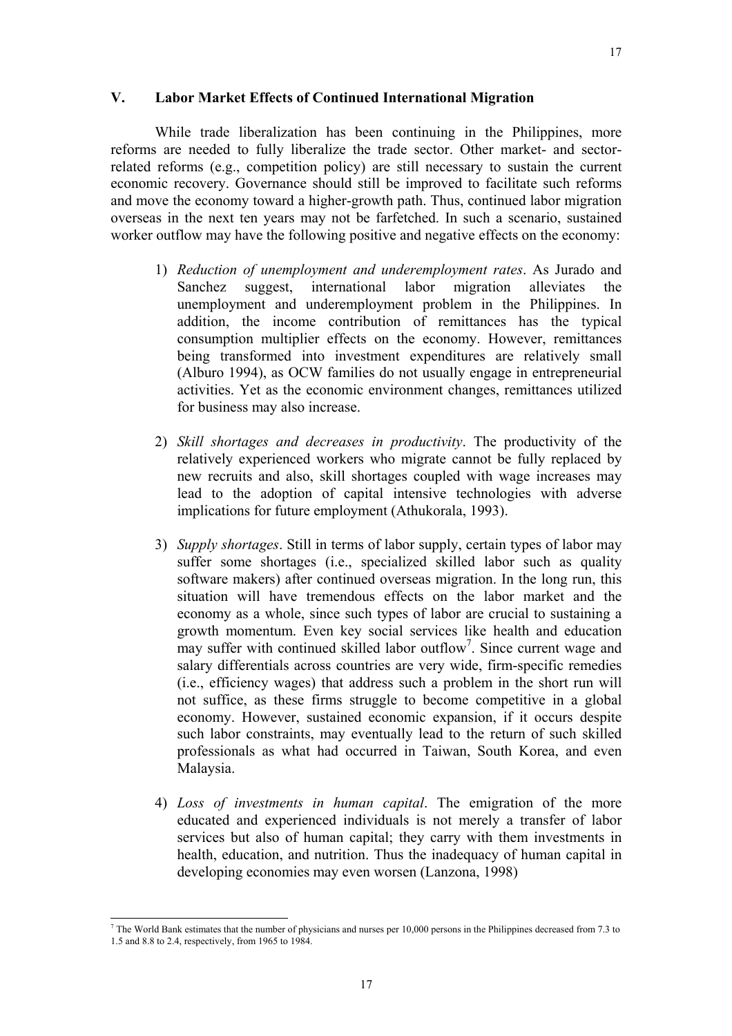### **V. Labor Market Effects of Continued International Migration**

While trade liberalization has been continuing in the Philippines, more reforms are needed to fully liberalize the trade sector. Other market- and sectorrelated reforms (e.g., competition policy) are still necessary to sustain the current economic recovery. Governance should still be improved to facilitate such reforms and move the economy toward a higher-growth path. Thus, continued labor migration overseas in the next ten years may not be farfetched. In such a scenario, sustained worker outflow may have the following positive and negative effects on the economy:

- 1) *Reduction of unemployment and underemployment rates*. As Jurado and Sanchez suggest, international labor migration alleviates the unemployment and underemployment problem in the Philippines. In addition, the income contribution of remittances has the typical consumption multiplier effects on the economy. However, remittances being transformed into investment expenditures are relatively small (Alburo 1994), as OCW families do not usually engage in entrepreneurial activities. Yet as the economic environment changes, remittances utilized for business may also increase.
- 2) *Skill shortages and decreases in productivity*. The productivity of the relatively experienced workers who migrate cannot be fully replaced by new recruits and also, skill shortages coupled with wage increases may lead to the adoption of capital intensive technologies with adverse implications for future employment (Athukorala, 1993).
- 3) *Supply shortages*. Still in terms of labor supply, certain types of labor may suffer some shortages (i.e., specialized skilled labor such as quality software makers) after continued overseas migration. In the long run, this situation will have tremendous effects on the labor market and the economy as a whole, since such types of labor are crucial to sustaining a growth momentum. Even key social services like health and education may suffer with continued skilled labor outflow<sup>7</sup>. Since current wage and salary differentials across countries are very wide, firm-specific remedies (i.e., efficiency wages) that address such a problem in the short run will not suffice, as these firms struggle to become competitive in a global economy. However, sustained economic expansion, if it occurs despite such labor constraints, may eventually lead to the return of such skilled professionals as what had occurred in Taiwan, South Korea, and even Malaysia.
- 4) *Loss of investments in human capital*. The emigration of the more educated and experienced individuals is not merely a transfer of labor services but also of human capital; they carry with them investments in health, education, and nutrition. Thus the inadequacy of human capital in developing economies may even worsen (Lanzona, 1998)

l

 $^7$  The World Bank estimates that the number of physicians and nurses per 10,000 persons in the Philippines decreased from 7.3 to 1.5 and 8.8 to 2.4, respectively, from 1965 to 1984.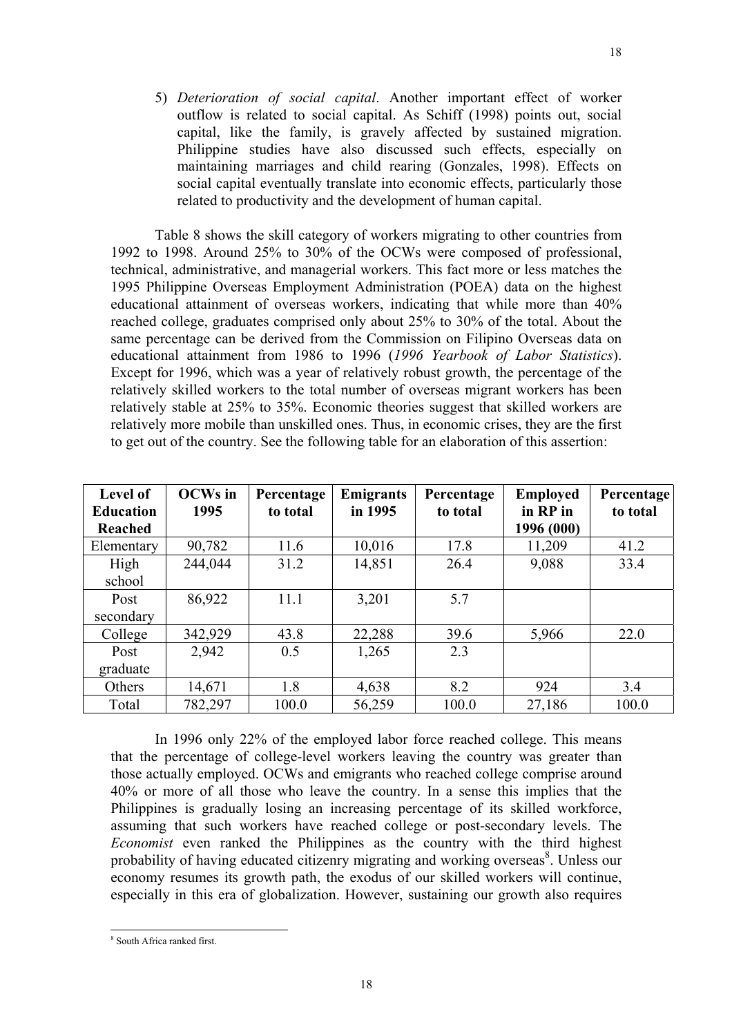5) *Deterioration of social capital*. Another important effect of worker outflow is related to social capital. As Schiff (1998) points out, social capital, like the family, is gravely affected by sustained migration. Philippine studies have also discussed such effects, especially on maintaining marriages and child rearing (Gonzales, 1998). Effects on social capital eventually translate into economic effects, particularly those related to productivity and the development of human capital.

Table 8 shows the skill category of workers migrating to other countries from 1992 to 1998. Around 25% to 30% of the OCWs were composed of professional, technical, administrative, and managerial workers. This fact more or less matches the 1995 Philippine Overseas Employment Administration (POEA) data on the highest educational attainment of overseas workers, indicating that while more than 40% reached college, graduates comprised only about 25% to 30% of the total. About the same percentage can be derived from the Commission on Filipino Overseas data on educational attainment from 1986 to 1996 (*1996 Yearbook of Labor Statistics*). Except for 1996, which was a year of relatively robust growth, the percentage of the relatively skilled workers to the total number of overseas migrant workers has been relatively stable at 25% to 35%. Economic theories suggest that skilled workers are relatively more mobile than unskilled ones. Thus, in economic crises, they are the first to get out of the country. See the following table for an elaboration of this assertion:

| <b>Level of</b><br><b>Education</b> | <b>OCWs</b> in<br>1995 | Percentage<br>to total | <b>Emigrants</b><br>in 1995 | Percentage<br>to total | <b>Employed</b><br>in RP in | Percentage<br>to total |
|-------------------------------------|------------------------|------------------------|-----------------------------|------------------------|-----------------------------|------------------------|
| Reached                             |                        |                        |                             |                        | 1996 (000)                  |                        |
| Elementary                          | 90,782                 | 11.6                   | 10,016                      | 17.8                   | 11,209                      | 41.2                   |
| High                                | 244,044                | 31.2                   | 14,851                      | 26.4                   | 9,088                       | 33.4                   |
| school                              |                        |                        |                             |                        |                             |                        |
| Post                                | 86,922                 | 11.1                   | 3,201                       | 5.7                    |                             |                        |
| secondary                           |                        |                        |                             |                        |                             |                        |
| College                             | 342,929                | 43.8                   | 22,288                      | 39.6                   | 5,966                       | 22.0                   |
| Post                                | 2,942                  | 0.5                    | 1,265                       | 2.3                    |                             |                        |
| graduate                            |                        |                        |                             |                        |                             |                        |
| Others                              | 14,671                 | 1.8                    | 4,638                       | 8.2                    | 924                         | 3.4                    |
| Total                               | 782,297                | 100.0                  | 56,259                      | 100.0                  | 27,186                      | 100.0                  |

In 1996 only 22% of the employed labor force reached college. This means that the percentage of college-level workers leaving the country was greater than those actually employed. OCWs and emigrants who reached college comprise around 40% or more of all those who leave the country. In a sense this implies that the Philippines is gradually losing an increasing percentage of its skilled workforce, assuming that such workers have reached college or post-secondary levels. The *Economist* even ranked the Philippines as the country with the third highest probability of having educated citizenry migrating and working overseas<sup>8</sup>. Unless our economy resumes its growth path, the exodus of our skilled workers will continue, especially in this era of globalization. However, sustaining our growth also requires

<sup>&</sup>lt;sup>8</sup> South Africa ranked first.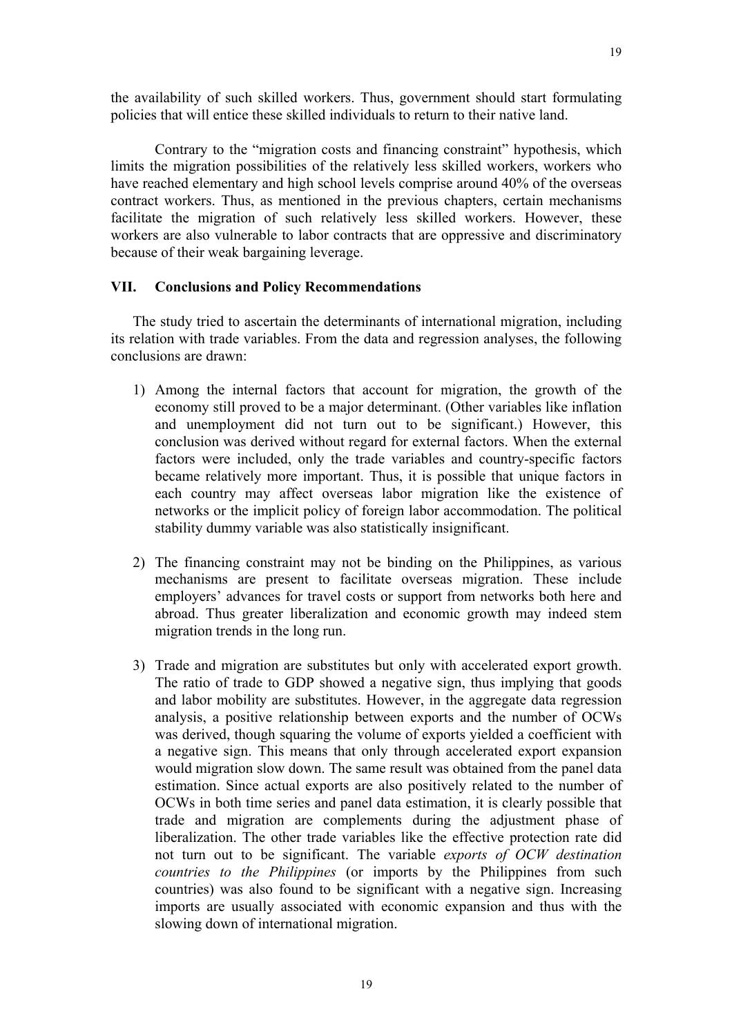the availability of such skilled workers. Thus, government should start formulating policies that will entice these skilled individuals to return to their native land.

Contrary to the "migration costs and financing constraint" hypothesis, which limits the migration possibilities of the relatively less skilled workers, workers who have reached elementary and high school levels comprise around 40% of the overseas contract workers. Thus, as mentioned in the previous chapters, certain mechanisms facilitate the migration of such relatively less skilled workers. However, these workers are also vulnerable to labor contracts that are oppressive and discriminatory because of their weak bargaining leverage.

### **VII. Conclusions and Policy Recommendations**

The study tried to ascertain the determinants of international migration, including its relation with trade variables. From the data and regression analyses, the following conclusions are drawn:

- 1) Among the internal factors that account for migration, the growth of the economy still proved to be a major determinant. (Other variables like inflation and unemployment did not turn out to be significant.) However, this conclusion was derived without regard for external factors. When the external factors were included, only the trade variables and country-specific factors became relatively more important. Thus, it is possible that unique factors in each country may affect overseas labor migration like the existence of networks or the implicit policy of foreign labor accommodation. The political stability dummy variable was also statistically insignificant.
- 2) The financing constraint may not be binding on the Philippines, as various mechanisms are present to facilitate overseas migration. These include employers' advances for travel costs or support from networks both here and abroad. Thus greater liberalization and economic growth may indeed stem migration trends in the long run.
- 3) Trade and migration are substitutes but only with accelerated export growth. The ratio of trade to GDP showed a negative sign, thus implying that goods and labor mobility are substitutes. However, in the aggregate data regression analysis, a positive relationship between exports and the number of OCWs was derived, though squaring the volume of exports yielded a coefficient with a negative sign. This means that only through accelerated export expansion would migration slow down. The same result was obtained from the panel data estimation. Since actual exports are also positively related to the number of OCWs in both time series and panel data estimation, it is clearly possible that trade and migration are complements during the adjustment phase of liberalization. The other trade variables like the effective protection rate did not turn out to be significant. The variable *exports of OCW destination countries to the Philippines* (or imports by the Philippines from such countries) was also found to be significant with a negative sign. Increasing imports are usually associated with economic expansion and thus with the slowing down of international migration.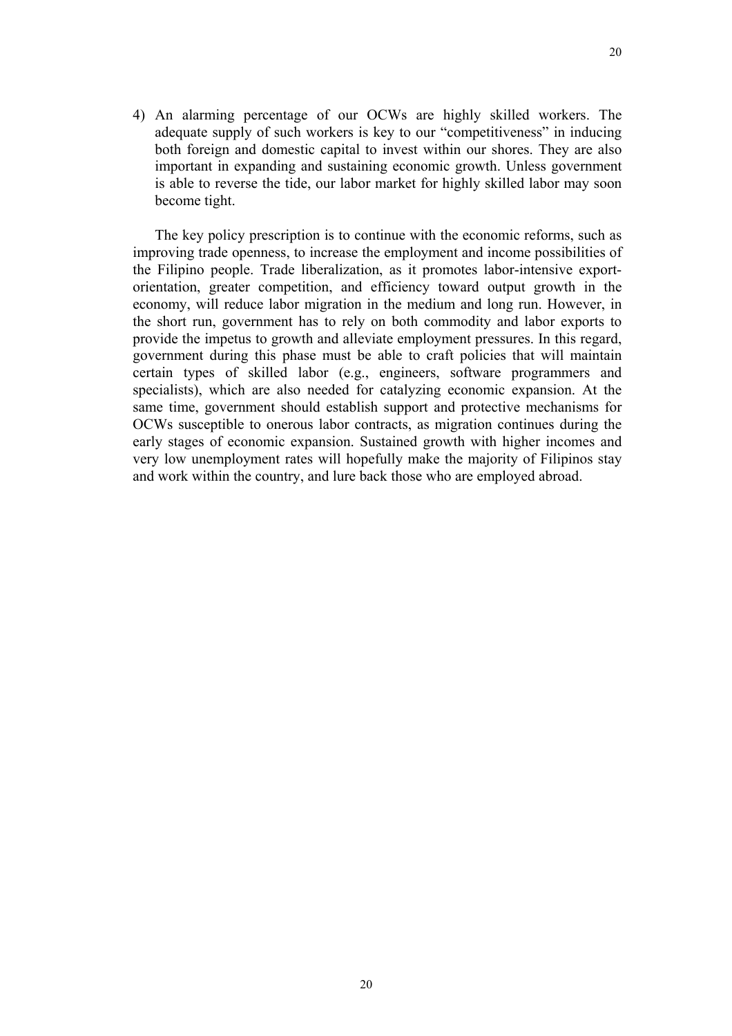4) An alarming percentage of our OCWs are highly skilled workers. The adequate supply of such workers is key to our "competitiveness" in inducing both foreign and domestic capital to invest within our shores. They are also important in expanding and sustaining economic growth. Unless government is able to reverse the tide, our labor market for highly skilled labor may soon become tight.

The key policy prescription is to continue with the economic reforms, such as improving trade openness, to increase the employment and income possibilities of the Filipino people. Trade liberalization, as it promotes labor-intensive exportorientation, greater competition, and efficiency toward output growth in the economy, will reduce labor migration in the medium and long run. However, in the short run, government has to rely on both commodity and labor exports to provide the impetus to growth and alleviate employment pressures. In this regard, government during this phase must be able to craft policies that will maintain certain types of skilled labor (e.g., engineers, software programmers and specialists), which are also needed for catalyzing economic expansion. At the same time, government should establish support and protective mechanisms for OCWs susceptible to onerous labor contracts, as migration continues during the early stages of economic expansion. Sustained growth with higher incomes and very low unemployment rates will hopefully make the majority of Filipinos stay and work within the country, and lure back those who are employed abroad.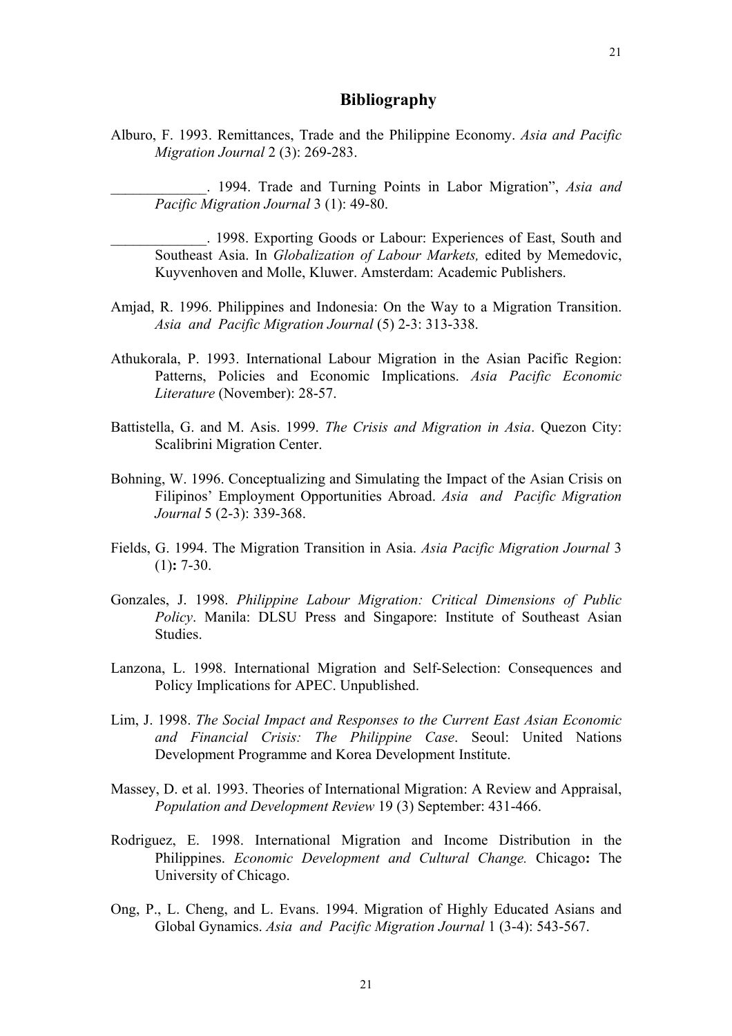21

## **Bibliography**

Alburo, F. 1993. Remittances, Trade and the Philippine Economy. *Asia and Pacific Migration Journal* 2 (3): 269-283.

\_\_\_\_\_\_\_\_\_\_\_\_\_. 1994. Trade and Turning Points in Labor Migration", *Asia and Pacific Migration Journal* 3 (1): 49-80.

\_\_\_\_\_\_\_\_\_\_\_\_\_. 1998. Exporting Goods or Labour: Experiences of East, South and Southeast Asia. In *Globalization of Labour Markets,* edited by Memedovic, Kuyvenhoven and Molle, Kluwer. Amsterdam: Academic Publishers.

- Amjad, R. 1996. Philippines and Indonesia: On the Way to a Migration Transition. *Asia and Pacific Migration Journal* (5) 2-3: 313-338.
- Athukorala, P. 1993. International Labour Migration in the Asian Pacific Region: Patterns, Policies and Economic Implications. *Asia Pacific Economic Literature* (November): 28-57.
- Battistella, G. and M. Asis. 1999. *The Crisis and Migration in Asia*. Quezon City: Scalibrini Migration Center.
- Bohning, W. 1996. Conceptualizing and Simulating the Impact of the Asian Crisis on Filipinos' Employment Opportunities Abroad. *Asia and Pacific Migration Journal* 5 (2-3): 339-368.
- Fields, G. 1994. The Migration Transition in Asia. *Asia Pacific Migration Journal* 3 (1)**:** 7-30.
- Gonzales, J. 1998. *Philippine Labour Migration: Critical Dimensions of Public Policy*. Manila: DLSU Press and Singapore: Institute of Southeast Asian Studies.
- Lanzona, L. 1998. International Migration and Self-Selection: Consequences and Policy Implications for APEC. Unpublished.
- Lim, J. 1998. *The Social Impact and Responses to the Current East Asian Economic and Financial Crisis: The Philippine Case*. Seoul: United Nations Development Programme and Korea Development Institute.
- Massey, D. et al. 1993. Theories of International Migration: A Review and Appraisal, *Population and Development Review* 19 (3) September: 431-466.
- Rodriguez, E. 1998. International Migration and Income Distribution in the Philippines. *Economic Development and Cultural Change.* Chicago**:** The University of Chicago.
- Ong, P., L. Cheng, and L. Evans. 1994. Migration of Highly Educated Asians and Global Gynamics. *Asia and Pacific Migration Journal* 1 (3-4): 543-567.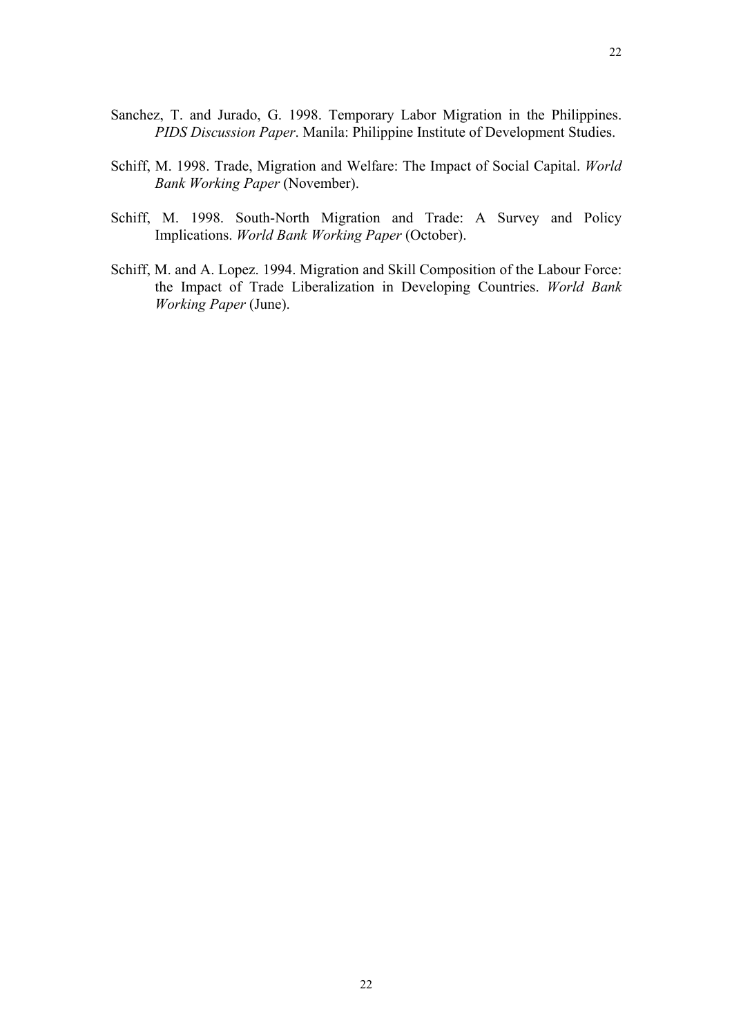- Sanchez, T. and Jurado, G. 1998. Temporary Labor Migration in the Philippines. *PIDS Discussion Paper*. Manila: Philippine Institute of Development Studies.
- Schiff, M. 1998. Trade, Migration and Welfare: The Impact of Social Capital. *World Bank Working Paper* (November).
- Schiff, M. 1998. South-North Migration and Trade: A Survey and Policy Implications. *World Bank Working Paper* (October).
- Schiff, M. and A. Lopez. 1994. Migration and Skill Composition of the Labour Force: the Impact of Trade Liberalization in Developing Countries. *World Bank Working Paper* (June).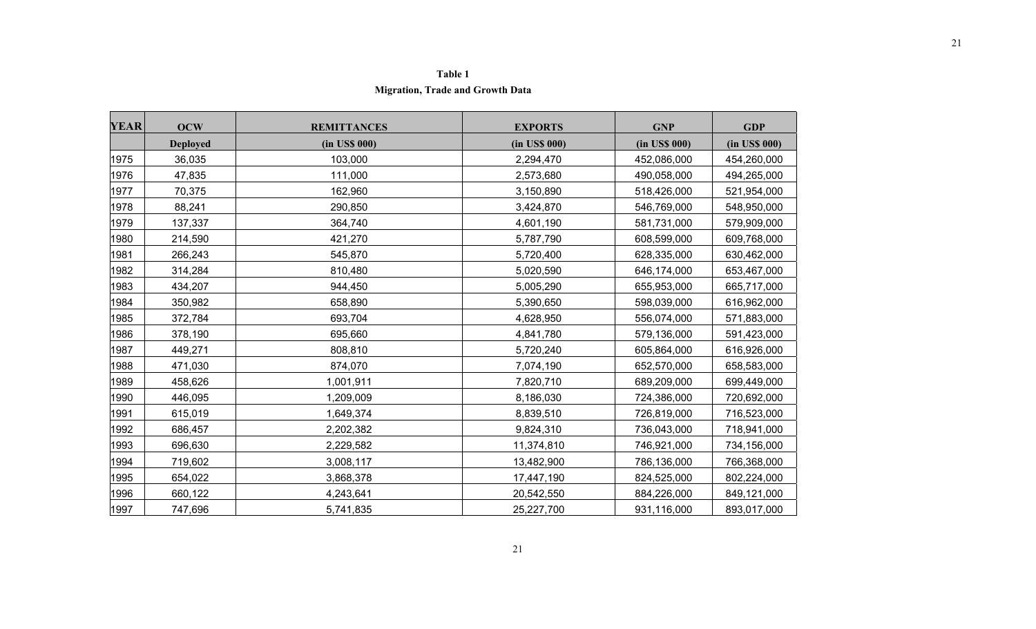### **Table 1 Migration, Trade and Growth Data**

| <b>YEAR</b> | <b>OCW</b>      | <b>REMITTANCES</b> | <b>EXPORTS</b> | <b>GNP</b>    | <b>GDP</b>    |
|-------------|-----------------|--------------------|----------------|---------------|---------------|
|             | <b>Deployed</b> | (in US\$ 000)      | (in US\$ 000)  | (in US\$ 000) | (in US\$ 000) |
| 1975        | 36,035          | 103,000            | 2,294,470      | 452,086,000   | 454,260,000   |
| 1976        | 47,835          | 111,000            | 2,573,680      | 490,058,000   | 494,265,000   |
| 1977        | 70,375          | 162,960            | 3,150,890      | 518,426,000   | 521,954,000   |
| 1978        | 88,241          | 290,850            | 3,424,870      | 546,769,000   | 548,950,000   |
| 1979        | 137,337         | 364,740            | 4,601,190      | 581,731,000   | 579,909,000   |
| 1980        | 214,590         | 421,270            | 5,787,790      | 608,599,000   | 609,768,000   |
| 1981        | 266,243         | 545,870            | 5,720,400      | 628,335,000   | 630,462,000   |
| 1982        | 314,284         | 810,480            | 5,020,590      | 646,174,000   | 653,467,000   |
| 1983        | 434,207         | 944,450            | 5,005,290      | 655,953,000   | 665,717,000   |
| 1984        | 350,982         | 658,890            | 5,390,650      | 598,039,000   | 616,962,000   |
| 1985        | 372,784         | 693,704            | 4,628,950      | 556,074,000   | 571,883,000   |
| 1986        | 378,190         | 695,660            | 4,841,780      | 579,136,000   | 591,423,000   |
| 1987        | 449,271         | 808,810            | 5,720,240      | 605,864,000   | 616,926,000   |
| 1988        | 471,030         | 874,070            | 7,074,190      | 652,570,000   | 658,583,000   |
| 1989        | 458,626         | 1,001,911          | 7,820,710      | 689,209,000   | 699,449,000   |
| 1990        | 446,095         | 1,209,009          | 8,186,030      | 724,386,000   | 720,692,000   |
| 1991        | 615,019         | 1,649,374          | 8,839,510      | 726,819,000   | 716,523,000   |
| 1992        | 686,457         | 2,202,382          | 9,824,310      | 736,043,000   | 718,941,000   |
| 1993        | 696,630         | 2,229,582          | 11,374,810     | 746,921,000   | 734,156,000   |
| 1994        | 719,602         | 3,008,117          | 13,482,900     | 786,136,000   | 766,368,000   |
| 1995        | 654,022         | 3,868,378          | 17,447,190     | 824,525,000   | 802,224,000   |
| 1996        | 660,122         | 4,243,641          | 20,542,550     | 884,226,000   | 849,121,000   |
| 1997        | 747,696         | 5,741,835          | 25,227,700     | 931,116,000   | 893,017,000   |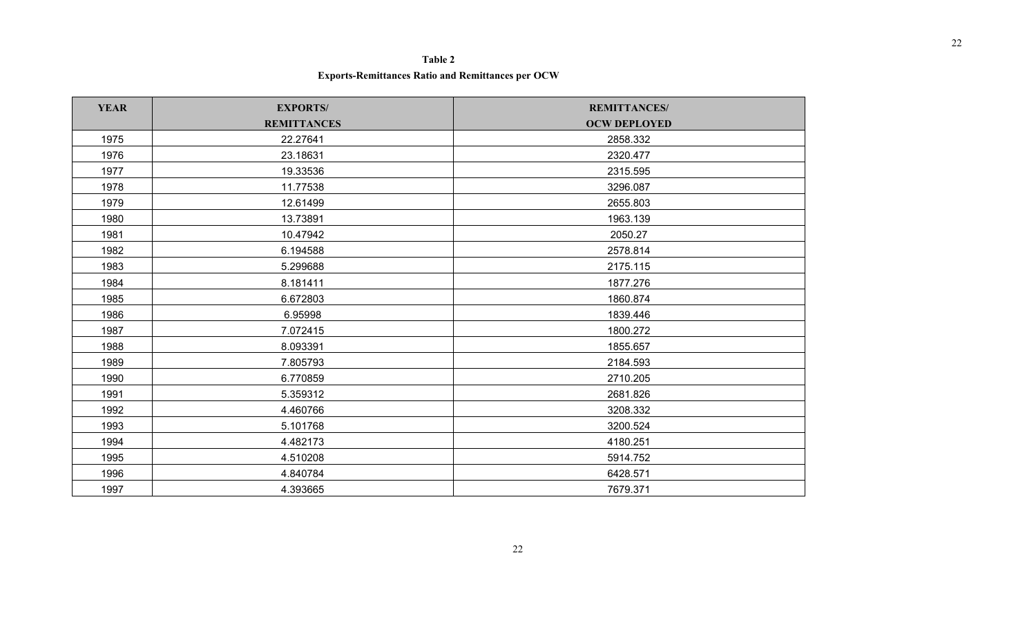### **Table 2**

**Exports-Remittances Ratio and Remittances per OCW**

| <b>YEAR</b> | <b>EXPORTS/</b>    | <b>REMITTANCES/</b> |
|-------------|--------------------|---------------------|
|             | <b>REMITTANCES</b> | <b>OCW DEPLOYED</b> |
| 1975        | 22.27641           | 2858.332            |
| 1976        | 23.18631           | 2320.477            |
| 1977        | 19.33536           | 2315.595            |
| 1978        | 11.77538           | 3296.087            |
| 1979        | 12.61499           | 2655.803            |
| 1980        | 13.73891           | 1963.139            |
| 1981        | 10.47942           | 2050.27             |
| 1982        | 6.194588           | 2578.814            |
| 1983        | 5.299688           | 2175.115            |
| 1984        | 8.181411           | 1877.276            |
| 1985        | 6.672803           | 1860.874            |
| 1986        | 6.95998            | 1839.446            |
| 1987        | 7.072415           | 1800.272            |
| 1988        | 8.093391           | 1855.657            |
| 1989        | 7.805793           | 2184.593            |
| 1990        | 6.770859           | 2710.205            |
| 1991        | 5.359312           | 2681.826            |
| 1992        | 4.460766           | 3208.332            |
| 1993        | 5.101768           | 3200.524            |
| 1994        | 4.482173           | 4180.251            |
| 1995        | 4.510208           | 5914.752            |
| 1996        | 4.840784           | 6428.571            |
| 1997        | 4.393665           | 7679.371            |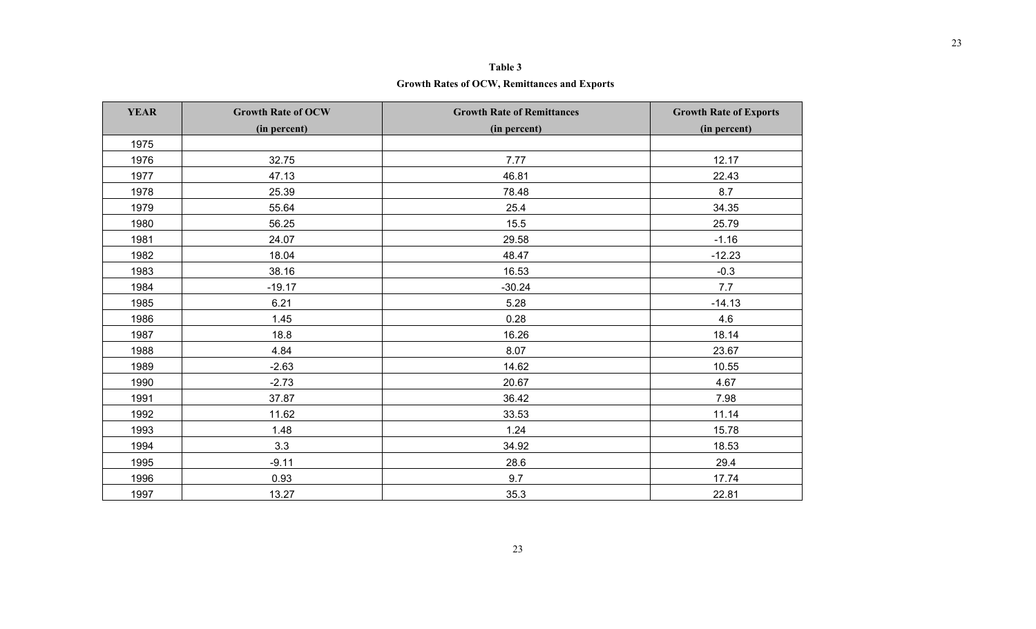| Table 3                                      |  |
|----------------------------------------------|--|
| Growth Rates of OCW, Remittances and Exports |  |

| <b>YEAR</b> | <b>Growth Rate of OCW</b><br>(in percent) | <b>Growth Rate of Remittances</b><br>(in percent) | <b>Growth Rate of Exports</b><br>(in percent) |
|-------------|-------------------------------------------|---------------------------------------------------|-----------------------------------------------|
| 1975        |                                           |                                                   |                                               |
| 1976        | 32.75                                     | 7.77                                              | 12.17                                         |
| 1977        | 47.13                                     | 46.81                                             | 22.43                                         |
| 1978        | 25.39                                     | 78.48                                             | 8.7                                           |
| 1979        | 55.64                                     | 25.4                                              | 34.35                                         |
| 1980        | 56.25                                     | 15.5                                              | 25.79                                         |
| 1981        | 24.07                                     | 29.58                                             | $-1.16$                                       |
| 1982        | 18.04                                     | 48.47                                             | $-12.23$                                      |
| 1983        | 38.16                                     | 16.53                                             | $-0.3$                                        |
| 1984        | $-19.17$                                  | $-30.24$                                          | 7.7                                           |
| 1985        | 6.21                                      | 5.28                                              | $-14.13$                                      |
| 1986        | 1.45                                      | 0.28                                              | 4.6                                           |
| 1987        | 18.8                                      | 16.26                                             | 18.14                                         |
| 1988        | 4.84                                      | 8.07                                              | 23.67                                         |
| 1989        | $-2.63$                                   | 14.62                                             | 10.55                                         |
| 1990        | $-2.73$                                   | 20.67                                             | 4.67                                          |
| 1991        | 37.87                                     | 36.42                                             | 7.98                                          |
| 1992        | 11.62                                     | 33.53                                             | 11.14                                         |
| 1993        | 1.48                                      | 1.24                                              | 15.78                                         |
| 1994        | 3.3                                       | 34.92                                             | 18.53                                         |
| 1995        | $-9.11$                                   | 28.6                                              | 29.4                                          |
| 1996        | 0.93                                      | 9.7                                               | 17.74                                         |
| 1997        | 13.27                                     | 35.3                                              | 22.81                                         |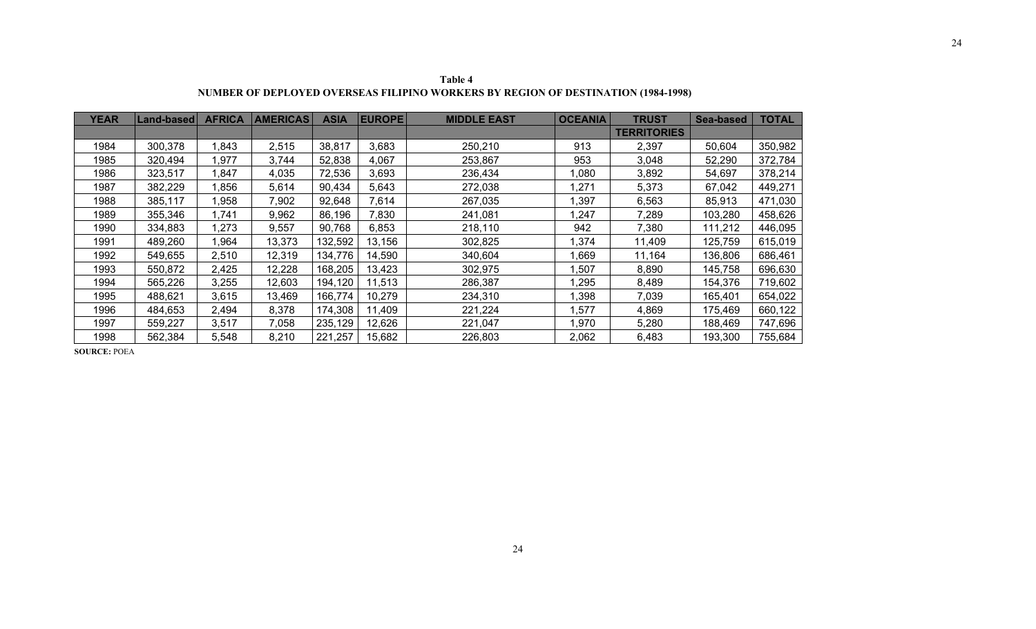| <b>YEAR</b> | <b>Land-based</b> | <b>AFRICA</b> | <b>AMERICAS</b> | <b>ASIA</b> | <b>EUROPE</b> | <b>MIDDLE EAST</b> | <b>OCEANIA</b> | <b>TRUST</b>       | <b>Sea-based</b> | <b>TOTAL</b> |
|-------------|-------------------|---------------|-----------------|-------------|---------------|--------------------|----------------|--------------------|------------------|--------------|
|             |                   |               |                 |             |               |                    |                | <b>TERRITORIES</b> |                  |              |
| 1984        | 300,378           | 1,843         | 2,515           | 38,817      | 3,683         | 250,210            | 913            | 2,397              | 50,604           | 350,982      |
| 1985        | 320,494           | 1,977         | 3,744           | 52,838      | 4,067         | 253,867            | 953            | 3,048              | 52,290           | 372,784      |
| 1986        | 323,517           | 1,847         | 4,035           | 72,536      | 3,693         | 236,434            | 1,080          | 3,892              | 54,697           | 378,214      |
| 1987        | 382,229           | 1,856         | 5,614           | 90,434      | 5,643         | 272,038            | ,271           | 5,373              | 67,042           | 449,271      |
| 1988        | 385,117           | 1,958         | 7,902           | 92,648      | 7,614         | 267,035            | ,397           | 6,563              | 85,913           | 471,030      |
| 1989        | 355,346           | 1,741         | 9,962           | 86,196      | 7,830         | 241,081            | ,247           | 7,289              | 103,280          | 458,626      |
| 1990        | 334,883           | 1,273         | 9,557           | 90,768      | 6,853         | 218,110            | 942            | 7,380              | 111,212          | 446,095      |
| 1991        | 489,260           | 1,964         | 13,373          | 132,592     | 13,156        | 302,825            | ,374           | 11,409             | 125,759          | 615,019      |
| 1992        | 549,655           | 2,510         | 12,319          | 134,776     | 14,590        | 340,604            | ,669           | 11,164             | 136,806          | 686,461      |
| 1993        | 550,872           | 2,425         | 12,228          | 168,205     | 13,423        | 302,975            | ,507           | 8,890              | 145,758          | 696,630      |
| 1994        | 565,226           | 3,255         | 12,603          | 194,120     | 11,513        | 286,387            | ,295           | 8,489              | 154,376          | 719,602      |
| 1995        | 488,621           | 3,615         | 13,469          | 166,774     | 10,279        | 234,310            | ,398           | 7,039              | 165,401          | 654,022      |
| 1996        | 484,653           | 2,494         | 8,378           | 174,308     | 11,409        | 221,224            | ,577           | 4,869              | 175,469          | 660,122      |
| 1997        | 559,227           | 3,517         | 7,058           | 235,129     | 12,626        | 221,047            | ,970           | 5,280              | 188,469          | 747,696      |
| 1998        | 562,384           | 5,548         | 8,210           | 221,257     | 15,682        | 226,803            | 2,062          | 6,483              | 193,300          | 755,684      |

**Table 4 NUMBER OF DEPLOYED OVERSEAS FILIPINO WORKERS BY REGION OF DESTINATION (1984-1998)** 

**SOURCE:** POEA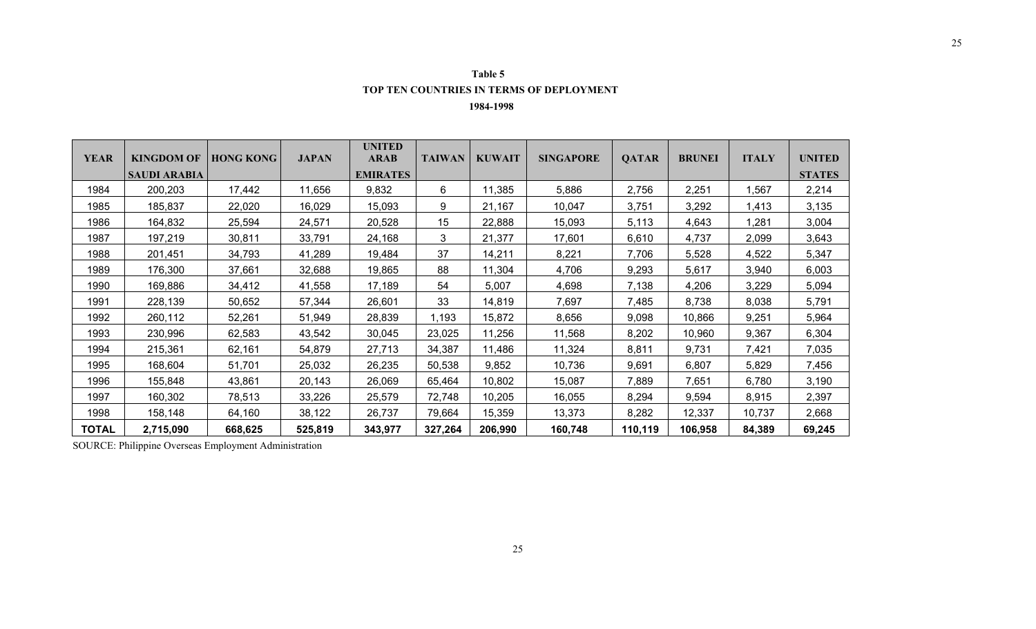| Table 5                                         |
|-------------------------------------------------|
| <b>TOP TEN COUNTRIES IN TERMS OF DEPLOYMENT</b> |

 **1984-1998** 

| <b>YEAR</b>  | KINGDOM OF          | <b>HONG KONG</b> | <b>JAPAN</b> | <b>UNITED</b><br><b>ARAB</b> | <b>TAIWAN</b> | <b>KUWAIT</b> | <b>SINGAPORE</b> | <b>QATAR</b> | <b>BRUNEI</b> | <b>ITALY</b> | <b>UNITED</b> |
|--------------|---------------------|------------------|--------------|------------------------------|---------------|---------------|------------------|--------------|---------------|--------------|---------------|
|              | <b>SAUDI ARABIA</b> |                  |              | <b>EMIRATES</b>              |               |               |                  |              |               |              | <b>STATES</b> |
| 1984         | 200,203             | 17,442           | 11,656       | 9,832                        | 6             | 11,385        | 5,886            | 2,756        | 2,251         | 1,567        | 2,214         |
| 1985         | 185,837             | 22,020           | 16,029       | 15,093                       | 9             | 21,167        | 10,047           | 3,751        | 3,292         | 1,413        | 3,135         |
| 1986         | 164,832             | 25,594           | 24,571       | 20,528                       | 15            | 22,888        | 15,093           | 5,113        | 4,643         | 1,281        | 3,004         |
| 1987         | 197,219             | 30,811           | 33,791       | 24,168                       | 3             | 21,377        | 17,601           | 6,610        | 4,737         | 2,099        | 3,643         |
| 1988         | 201,451             | 34,793           | 41,289       | 19,484                       | 37            | 14,211        | 8,221            | 7,706        | 5,528         | 4,522        | 5,347         |
| 1989         | 176,300             | 37,661           | 32,688       | 19,865                       | 88            | 11,304        | 4,706            | 9,293        | 5,617         | 3,940        | 6,003         |
| 1990         | 169,886             | 34,412           | 41,558       | 17,189                       | 54            | 5,007         | 4,698            | 7,138        | 4,206         | 3,229        | 5,094         |
| 1991         | 228,139             | 50,652           | 57,344       | 26,601                       | 33            | 14,819        | 7,697            | 7,485        | 8,738         | 8,038        | 5,791         |
| 1992         | 260,112             | 52,261           | 51,949       | 28,839                       | 1,193         | 15,872        | 8,656            | 9,098        | 10,866        | 9,251        | 5,964         |
| 1993         | 230,996             | 62,583           | 43,542       | 30,045                       | 23,025        | 11,256        | 11,568           | 8,202        | 10,960        | 9,367        | 6,304         |
| 1994         | 215,361             | 62,161           | 54,879       | 27,713                       | 34,387        | 11,486        | 11,324           | 8,811        | 9,731         | 7,421        | 7,035         |
| 1995         | 168,604             | 51,701           | 25,032       | 26,235                       | 50,538        | 9,852         | 10,736           | 9,691        | 6,807         | 5,829        | 7,456         |
| 1996         | 155,848             | 43,861           | 20,143       | 26,069                       | 65,464        | 10,802        | 15,087           | 7,889        | 7,651         | 6,780        | 3,190         |
| 1997         | 160,302             | 78,513           | 33,226       | 25,579                       | 72,748        | 10,205        | 16,055           | 8,294        | 9,594         | 8,915        | 2,397         |
| 1998         | 158,148             | 64,160           | 38,122       | 26,737                       | 79,664        | 15,359        | 13,373           | 8,282        | 12,337        | 10,737       | 2,668         |
| <b>TOTAL</b> | 2,715,090           | 668,625          | 525,819      | 343,977                      | 327,264       | 206,990       | 160,748          | 110,119      | 106,958       | 84,389       | 69,245        |

SOURCE: Philippine Overseas Employment Administration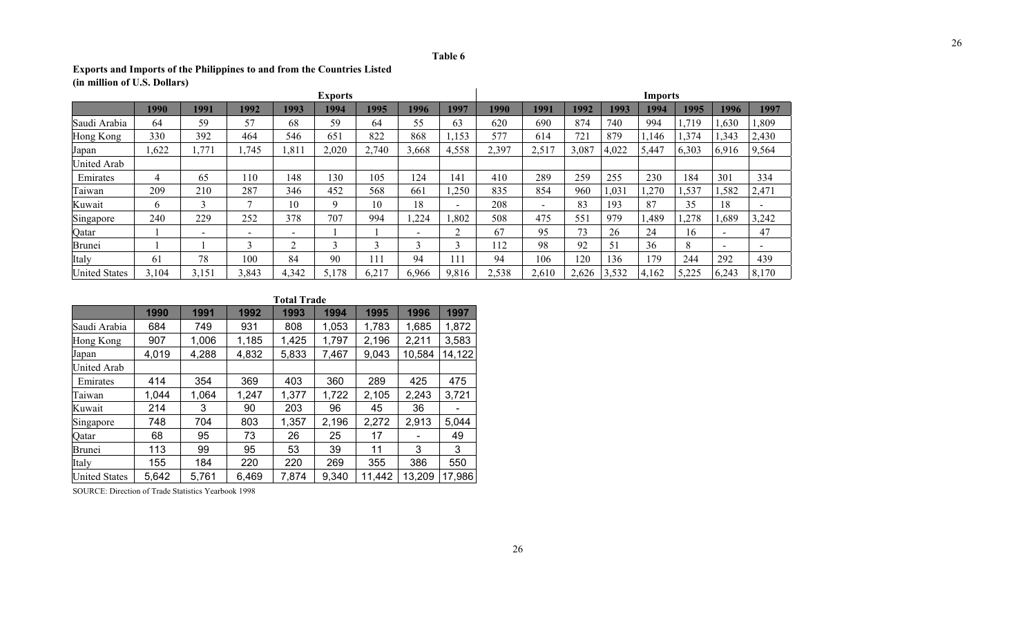### **Table 6**

## **Exports and Imports of the Philippines to and from the Countries Listed (in million of U.S. Dollars)**

|                      | <b>Exports</b> |              |              |                          |       |        |       |                          | <b>Imports</b> |        |       |       |       |       |                          |                          |
|----------------------|----------------|--------------|--------------|--------------------------|-------|--------|-------|--------------------------|----------------|--------|-------|-------|-------|-------|--------------------------|--------------------------|
|                      | 1990           | 1991         | 1992         | 1993                     | 1994  | 1995   | 1996  | 1997                     | 1990           | 1991   | 1992  | 1993  | 1994  | 1995  | 1996                     | 1997                     |
| Saudi Arabia         | 64             | 59           | 57           | 68                       | 59    | 64     | 55    | 63                       | 620            | 690    | 874   | 740   | 994   | .719  | ,630                     | ,809                     |
| Hong Kong            | 330            | 392          | 464          | 546                      | 651   | 822    | 868   | ,153                     | 577            | 614    | 721   | 879   | .146  | 374.  | ,343                     | 2,430                    |
| Japan                | ,622           | 1,771        | ,745         | , 81                     | 2,020 | 2,740  | 3,668 | 4,558                    | 2,397          | 2,517  | 3,087 | 4,022 | 5,447 | 6,303 | 6,916                    | 9,564                    |
| United Arab          |                |              |              |                          |       |        |       |                          |                |        |       |       |       |       |                          |                          |
| Emirates             | 4              | 65           | 110          | 148                      | 130   | 105    | 124   | 141                      | 410            | 289    | 259   | 255   | 230   | 184   | 301                      | 334                      |
| Taiwan               | 209            | 210          | 287          | 346                      | 452   | 568    | 661   | ,250                     | 835            | 854    | 960   | 1,031 | ,270  | .,537 | ,582                     | 2,471                    |
| Kuwait               | O.             | $\mathbf{R}$ | ⇁            | 10                       | Q     | 10     | 18    | $\overline{\phantom{0}}$ | 208            | $\sim$ | 83    | 193   | 87    | 35    | 18                       | $\overline{\phantom{0}}$ |
| Singapore            | 240            | 229          | 252          | 378                      | 707   | 994    | ,224  | ,802                     | 508            | 475    | 551   | 979   | ,489  | ,278  | ,689                     | 3,242                    |
| Qatar                |                |              | $\,$         | $\overline{\phantom{0}}$ |       |        | -     | ◠                        | 67             | 95     | 73    | 26    | 24    | 16    | $\overline{\phantom{0}}$ | 47                       |
| <b>Brunei</b>        |                |              | $\mathbf{R}$ | $\sim$                   |       | $\sim$ | ◠     | ◠                        | 12             | 98     | 92    | 51    | 36    | 8     | $\,$                     | $\overline{\phantom{0}}$ |
| Italy                | 61             | 78           | 100          | 84                       | 90    | 11     | 94    | 111                      | 94             | 106    | 120   | 136   | 179   | 244   | 292                      | 439                      |
| <b>United States</b> | 3,104          | 3,151        | 3,843        | 4,342                    | 5,178 | 6,217  | 6,966 | 9,816                    | 2,538          | 2,610  | 2,626 | 3,532 | 4,162 | 5,225 | 6,243                    | 8,170                    |

### **Total Trade**

|                      | 1990  | 1991  | 1992  | 1993  | 1994  | 1995   | 1996   | 1997   |
|----------------------|-------|-------|-------|-------|-------|--------|--------|--------|
| Saudi Arabia         | 684   | 749   | 931   | 808   | 1,053 | 1,783  | 1,685  | 1,872  |
| Hong Kong            | 907   | 1,006 | 1,185 | 1,425 | 1,797 | 2,196  | 2,211  | 3,583  |
| Japan                | 4,019 | 4,288 | 4,832 | 5,833 | 7,467 | 9,043  | 10,584 | 14,122 |
| <b>United Arab</b>   |       |       |       |       |       |        |        |        |
| Emirates             | 414   | 354   | 369   | 403   | 360   | 289    | 425    | 475    |
| Taiwan               | 1,044 | 1,064 | 1,247 | 1,377 | 1,722 | 2,105  | 2,243  | 3,721  |
| Kuwait               | 214   | 3     | 90    | 203   | 96    | 45     | 36     |        |
| Singapore            | 748   | 704   | 803   | 1,357 | 2,196 | 2,272  | 2,913  | 5,044  |
| Qatar                | 68    | 95    | 73    | 26    | 25    | 17     |        | 49     |
| Brunei               | 113   | 99    | 95    | 53    | 39    | 11     | 3      | 3      |
| Italy                | 155   | 184   | 220   | 220   | 269   | 355    | 386    | 550    |
| <b>United States</b> | 5,642 | 5,761 | 6,469 | 7,874 | 9,340 | 11,442 | 13,209 | 17,986 |

SOURCE: Direction of Trade Statistics Yearbook 1998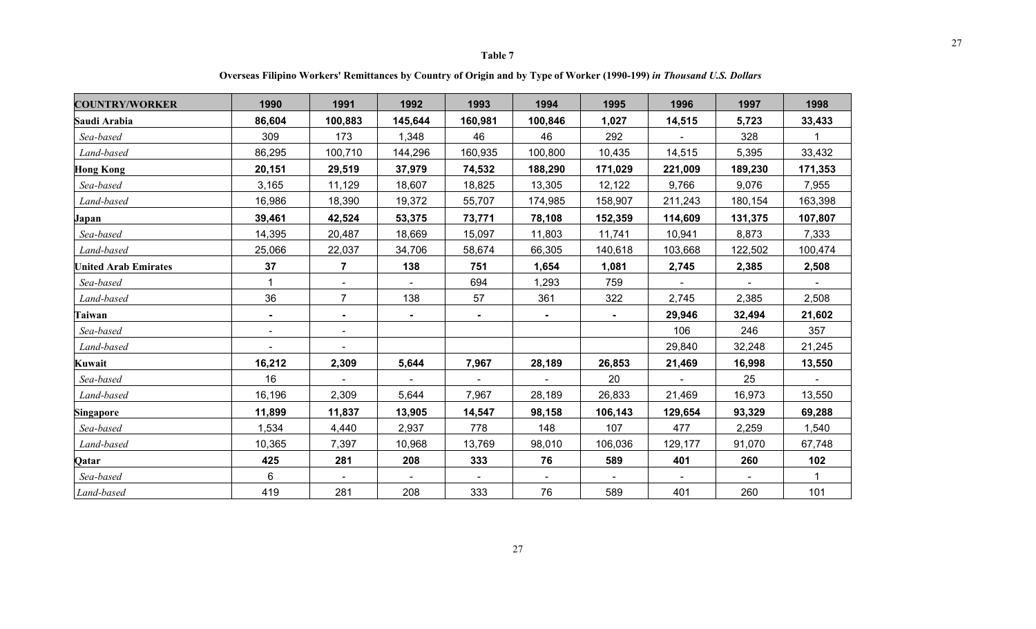27

 **Overseas Filipino Workers' Remittances by Country of Origin and by Type of Worker (1990-199)** *in Thousand U.S. Dollars*

| <b>COUNTRY/WORKER</b>       | 1990           | 1991           | 1992    | 1993           | 1994           | 1995           | 1996    | 1997    | 1998         |
|-----------------------------|----------------|----------------|---------|----------------|----------------|----------------|---------|---------|--------------|
| Saudi Arabia                | 86,604         | 100,883        | 145,644 | 160,981        | 100,846        | 1,027          | 14,515  | 5,723   | 33,433       |
| Sea-based                   | 309            | 173            | 1,348   | 46             | 46             | 292            |         | 328     | 1            |
| Land-based                  | 86,295         | 100,710        | 144,296 | 160,935        | 100,800        | 10,435         | 14,515  | 5,395   | 33,432       |
| <b>Hong Kong</b>            | 20,151         | 29,519         | 37,979  | 74,532         | 188,290        | 171,029        | 221,009 | 189,230 | 171,353      |
| Sea-based                   | 3,165          | 11,129         | 18,607  | 18,825         | 13,305         | 12,122         | 9,766   | 9,076   | 7,955        |
| Land-based                  | 16,986         | 18,390         | 19,372  | 55,707         | 174,985        | 158,907        | 211,243 | 180,154 | 163,398      |
| Japan                       | 39,461         | 42,524         | 53,375  | 73,771         | 78,108         | 152,359        | 114,609 | 131,375 | 107,807      |
| Sea-based                   | 14,395         | 20,487         | 18,669  | 15,097         | 11,803         | 11,741         | 10,941  | 8,873   | 7,333        |
| Land-based                  | 25,066         | 22,037         | 34,706  | 58,674         | 66,305         | 140,618        | 103,668 | 122,502 | 100,474      |
| <b>United Arab Emirates</b> | 37             | $\overline{7}$ | 138     | 751            | 1,654          | 1,081          | 2,745   | 2,385   | 2,508        |
| Sea-based                   |                | $\sim$         |         | 694            | 1,293          | 759            |         |         |              |
| Land-based                  | 36             | $\overline{7}$ | 138     | 57             | 361            | 322            | 2,745   | 2,385   | 2,508        |
| Taiwan                      | $\blacksquare$ | $\blacksquare$ |         | $\blacksquare$ | $\blacksquare$ | $\blacksquare$ | 29,946  | 32,494  | 21,602       |
| Sea-based                   | $\sim$         | $\sim$         |         |                |                |                | 106     | 246     | 357          |
| Land-based                  |                | $\blacksquare$ |         |                |                |                | 29,840  | 32,248  | 21,245       |
| Kuwait                      | 16,212         | 2,309          | 5,644   | 7,967          | 28,189         | 26,853         | 21,469  | 16,998  | 13,550       |
| Sea-based                   | 16             |                |         |                |                | 20             |         | 25      |              |
| Land-based                  | 16,196         | 2,309          | 5,644   | 7,967          | 28,189         | 26,833         | 21,469  | 16,973  | 13,550       |
| Singapore                   | 11,899         | 11,837         | 13,905  | 14,547         | 98,158         | 106,143        | 129,654 | 93,329  | 69,288       |
| Sea-based                   | 1,534          | 4,440          | 2,937   | 778            | 148            | 107            | 477     | 2,259   | 1,540        |
| Land-based                  | 10,365         | 7,397          | 10,968  | 13,769         | 98,010         | 106,036        | 129,177 | 91,070  | 67,748       |
| Qatar                       | 425            | 281            | 208     | 333            | 76             | 589            | 401     | 260     | 102          |
| Sea-based                   | 6              |                |         |                |                |                |         |         | $\mathbf{1}$ |
| Land-based                  | 419            | 281            | 208     | 333            | 76             | 589            | 401     | 260     | 101          |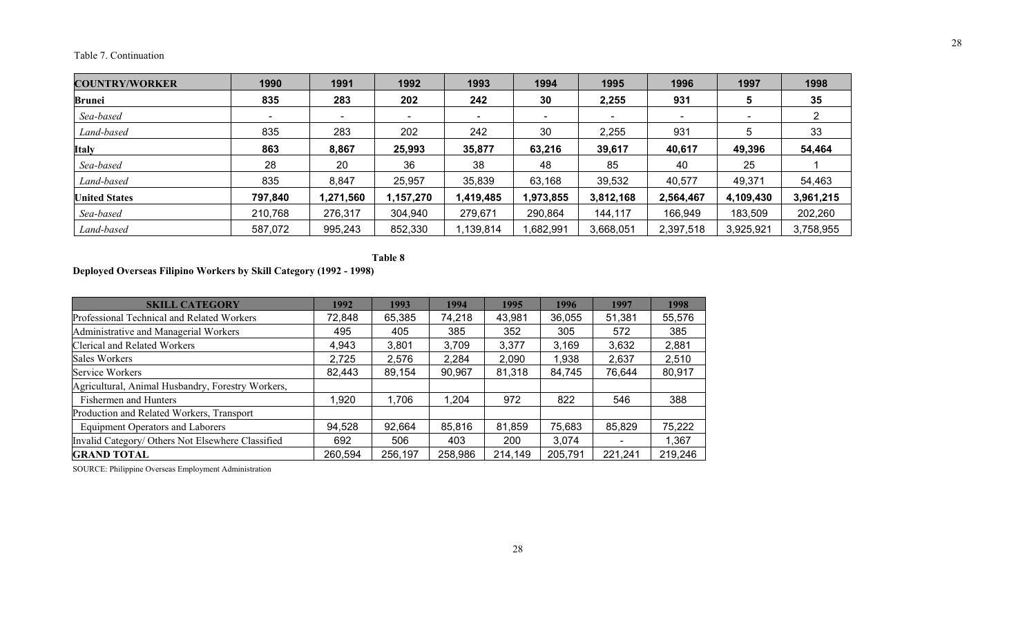### Table 7. Continuation

| <b>COUNTRY/WORKER</b> | 1990    | 1991      | 1992                     | 1993      | 1994                     | 1995                     | 1996      | 1997      | 1998      |
|-----------------------|---------|-----------|--------------------------|-----------|--------------------------|--------------------------|-----------|-----------|-----------|
| Brunei                | 835     | 283       | 202                      | 242       | 30                       | 2,255                    | 931       |           | 35        |
| Sea-based             |         |           | $\overline{\phantom{a}}$ |           | $\overline{\phantom{a}}$ | $\overline{\phantom{a}}$ |           |           |           |
| Land-based            | 835     | 283       | 202                      | 242       | 30                       | 2,255                    | 931       |           | 33        |
| <b>Italy</b>          | 863     | 8,867     | 25,993                   | 35,877    | 63,216                   | 39,617                   | 40,617    | 49,396    | 54,464    |
| Sea-based             | 28      | 20        | 36                       | 38        | 48                       | 85                       | 40        | 25        |           |
| Land-based            | 835     | 8,847     | 25,957                   | 35,839    | 63,168                   | 39,532                   | 40,577    | 49,371    | 54,463    |
| <b>United States</b>  | 797,840 | 1,271,560 | 1,157,270                | 1,419,485 | 1,973,855                | 3,812,168                | 2,564,467 | 4,109,430 | 3,961,215 |
| Sea-based             | 210,768 | 276,317   | 304,940                  | 279,671   | 290,864                  | 144,117                  | 166,949   | 183,509   | 202,260   |
| Land-based            | 587,072 | 995,243   | 852,330                  | 1,139,814 | ,682,991                 | 3,668,051                | 2,397,518 | 3,925,921 | 3,758,955 |

**Table 8** 

## **Deployed Overseas Filipino Workers by Skill Category (1992 - 1998)**

| <b>SKILL CATEGORY</b>                             | 1992    | 1993    | 1994    | 1995    | 1996    | 1997                     | 1998    |
|---------------------------------------------------|---------|---------|---------|---------|---------|--------------------------|---------|
| Professional Technical and Related Workers        | 72,848  | 65,385  | 74,218  | 43,981  | 36,055  | 51,381                   | 55,576  |
| Administrative and Managerial Workers             | 495     | 405     | 385     | 352     | 305     | 572                      | 385     |
| <b>Clerical and Related Workers</b>               | 4,943   | 3,801   | 3,709   | 3,377   | 3,169   | 3,632                    | 2,881   |
| Sales Workers                                     | 2,725   | 2,576   | 2,284   | 2,090   | 1,938   | 2,637                    | 2,510   |
| Service Workers                                   | 82,443  | 89,154  | 90,967  | 81,318  | 84,745  | 76,644                   | 80,917  |
| Agricultural, Animal Husbandry, Forestry Workers, |         |         |         |         |         |                          |         |
| Fishermen and Hunters                             | 1,920   | 1,706   | 1,204   | 972     | 822     | 546                      | 388     |
| Production and Related Workers, Transport         |         |         |         |         |         |                          |         |
| <b>Equipment Operators and Laborers</b>           | 94,528  | 92,664  | 85,816  | 81,859  | 75,683  | 85,829                   | 75,222  |
| Invalid Category/ Others Not Elsewhere Classified | 692     | 506     | 403     | 200     | 3,074   | $\overline{\phantom{0}}$ | 1,367   |
| <b>GRAND TOTAL</b>                                | 260,594 | 256,197 | 258,986 | 214,149 | 205,791 | 221,241                  | 219,246 |

SOURCE: Philippine Overseas Employment Administration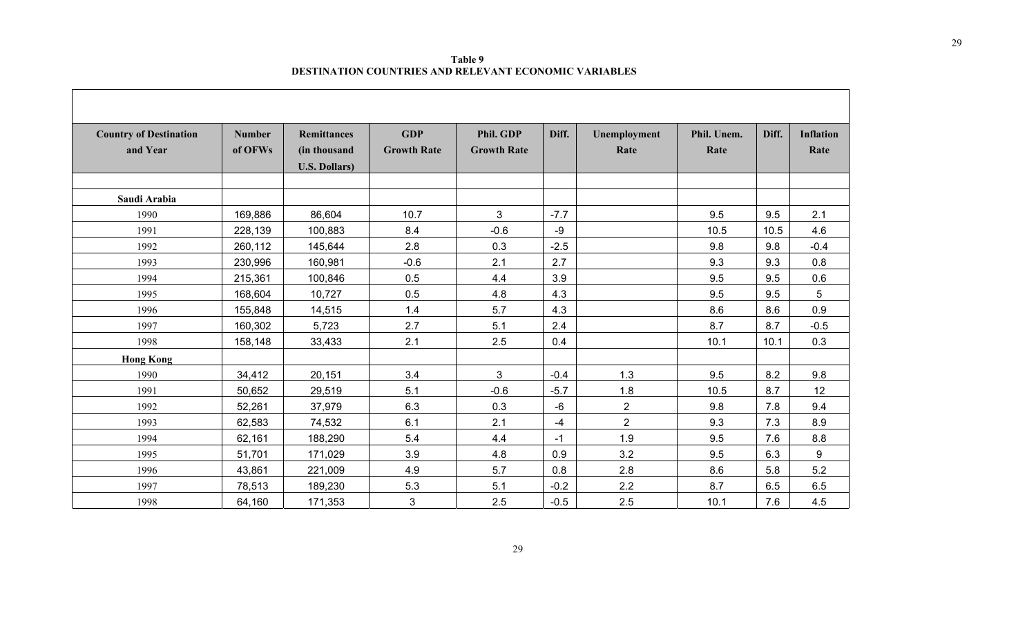**Table 9 DESTINATION COUNTRIES AND RELEVANT ECONOMIC VARIABLES** 

| <b>Country of Destination</b> | <b>Number</b> | <b>Remittances</b>    | <b>GDP</b>         | Phil. GDP          | Diff.  | Unemployment   | Phil. Unem. | Diff. | <b>Inflation</b> |
|-------------------------------|---------------|-----------------------|--------------------|--------------------|--------|----------------|-------------|-------|------------------|
| and Year                      | of OFWs       | (in thousand          | <b>Growth Rate</b> | <b>Growth Rate</b> |        | Rate           | Rate        |       | Rate             |
|                               |               | <b>U.S. Dollars</b> ) |                    |                    |        |                |             |       |                  |
|                               |               |                       |                    |                    |        |                |             |       |                  |
| Saudi Arabia                  |               |                       |                    |                    |        |                |             |       |                  |
| 1990                          | 169,886       | 86,604                | 10.7               | 3                  | $-7.7$ |                | 9.5         | 9.5   | 2.1              |
| 1991                          | 228,139       | 100,883               | 8.4                | $-0.6$             | -9     |                | 10.5        | 10.5  | 4.6              |
| 1992                          | 260,112       | 145,644               | 2.8                | 0.3                | $-2.5$ |                | 9.8         | 9.8   | $-0.4$           |
| 1993                          | 230,996       | 160,981               | $-0.6$             | 2.1                | 2.7    |                | 9.3         | 9.3   | 0.8              |
| 1994                          | 215,361       | 100,846               | 0.5                | 4.4                | 3.9    |                | 9.5         | 9.5   | 0.6              |
| 1995                          | 168,604       | 10,727                | 0.5                | 4.8                | 4.3    |                | 9.5         | 9.5   | 5                |
| 1996                          | 155,848       | 14,515                | 1.4                | 5.7                | 4.3    |                | 8.6         | 8.6   | 0.9              |
| 1997                          | 160,302       | 5,723                 | 2.7                | 5.1                | 2.4    |                | 8.7         | 8.7   | $-0.5$           |
| 1998                          | 158,148       | 33,433                | 2.1                | 2.5                | 0.4    |                | 10.1        | 10.1  | 0.3              |
| <b>Hong Kong</b>              |               |                       |                    |                    |        |                |             |       |                  |
| 1990                          | 34,412        | 20,151                | 3.4                | 3                  | $-0.4$ | 1.3            | 9.5         | 8.2   | 9.8              |
| 1991                          | 50,652        | 29,519                | 5.1                | $-0.6$             | $-5.7$ | 1.8            | 10.5        | 8.7   | 12               |
| 1992                          | 52,261        | 37,979                | 6.3                | 0.3                | $-6$   | $\overline{2}$ | 9.8         | 7.8   | 9.4              |
| 1993                          | 62,583        | 74,532                | 6.1                | 2.1                | $-4$   | $\overline{2}$ | 9.3         | 7.3   | 8.9              |
| 1994                          | 62,161        | 188,290               | 5.4                | 4.4                | $-1$   | 1.9            | 9.5         | 7.6   | 8.8              |
| 1995                          | 51,701        | 171,029               | 3.9                | 4.8                | 0.9    | 3.2            | 9.5         | 6.3   | 9                |
| 1996                          | 43,861        | 221,009               | 4.9                | 5.7                | 0.8    | 2.8            | 8.6         | 5.8   | 5.2              |
| 1997                          | 78,513        | 189,230               | 5.3                | 5.1                | $-0.2$ | 2.2            | 8.7         | 6.5   | 6.5              |
| 1998                          | 64,160        | 171,353               | 3                  | 2.5                | $-0.5$ | 2.5            | 10.1        | 7.6   | 4.5              |

 $\sim$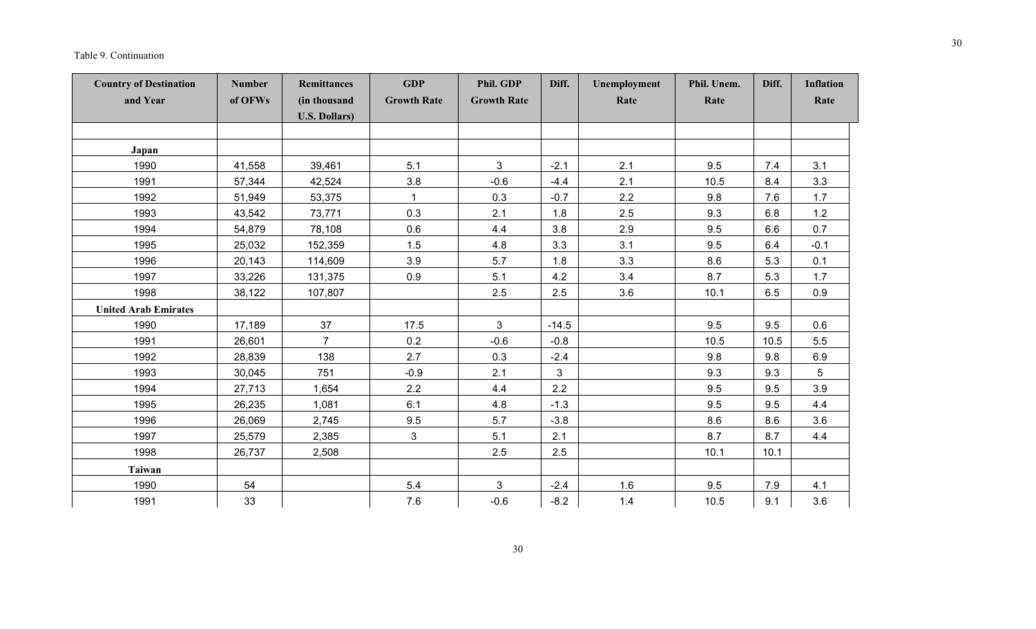| <b>Country of Destination</b><br>and Year | <b>Number</b><br>of OFWs | Remittances<br>(in thousand<br><b>U.S. Dollars)</b> | <b>GDP</b><br><b>Growth Rate</b> | Phil. GDP<br><b>Growth Rate</b> | Diff.        | Unemployment<br>Rate | Phil. Unem.<br>Rate | Diff. | <b>Inflation</b><br>Rate |
|-------------------------------------------|--------------------------|-----------------------------------------------------|----------------------------------|---------------------------------|--------------|----------------------|---------------------|-------|--------------------------|
|                                           |                          |                                                     |                                  |                                 |              |                      |                     |       |                          |
| Japan                                     |                          |                                                     |                                  |                                 |              |                      |                     |       |                          |
| 1990                                      | 41,558                   | 39,461                                              | 5.1                              | $\overline{3}$                  | $-2.1$       | 2.1                  | 9.5                 | 7.4   | 3.1                      |
| 1991                                      | 57,344                   | 42,524                                              | 3.8                              | $-0.6$                          | $-4.4$       | 2.1                  | 10.5                | 8.4   | 3.3                      |
| 1992                                      | 51,949                   | 53,375                                              |                                  | 0.3                             | $-0.7$       | 2.2                  | 9.8                 | 7.6   | 1.7                      |
| 1993                                      | 43,542                   | 73,771                                              | 0.3                              | 2.1                             | 1.8          | 2.5                  | 9.3                 | 6.8   | $1.2$                    |
| 1994                                      | 54,879                   | 78,108                                              | 0.6                              | 4.4                             | 3.8          | 2.9                  | 9.5                 | 6.6   | 0.7                      |
| 1995                                      | 25,032                   | 152,359                                             | 1.5                              | 4.8                             | 3.3          | 3.1                  | 9.5                 | 6.4   | $-0.1$                   |
| 1996                                      | 20,143                   | 114,609                                             | 3.9                              | 5.7                             | 1.8          | 3.3                  | 8.6                 | 5.3   | 0.1                      |
| 1997                                      | 33,226                   | 131,375                                             | 0.9                              | 5.1                             | 4.2          | 3.4                  | 8.7                 | 5.3   | 1.7                      |
| 1998                                      | 38,122                   | 107,807                                             |                                  | 2.5                             | 2.5          | 3.6                  | 10.1                | 6.5   | 0.9                      |
| <b>United Arab Emirates</b>               |                          |                                                     |                                  |                                 |              |                      |                     |       |                          |
| 1990                                      | 17,189                   | 37                                                  | 17.5                             | 3                               | $-14.5$      |                      | 9.5                 | 9.5   | 0.6                      |
| 1991                                      | 26,601                   | $\overline{7}$                                      | 0.2                              | $-0.6$                          | $-0.8$       |                      | 10.5                | 10.5  | 5.5                      |
| 1992                                      | 28,839                   | 138                                                 | 2.7                              | 0.3                             | $-2.4$       |                      | 9.8                 | 9.8   | 6.9                      |
| 1993                                      | 30,045                   | 751                                                 | $-0.9$                           | 2.1                             | $\mathbf{3}$ |                      | 9.3                 | 9.3   | 5                        |
| 1994                                      | 27,713                   | 1,654                                               | 2.2                              | 4.4                             | 2.2          |                      | 9.5                 | 9.5   | 3.9                      |
| 1995                                      | 26,235                   | 1,081                                               | 6.1                              | 4.8                             | $-1.3$       |                      | 9.5                 | 9.5   | 4.4                      |
| 1996                                      | 26,069                   | 2,745                                               | 9.5                              | 5.7                             | $-3.8$       |                      | 8.6                 | 8.6   | 3.6                      |
| 1997                                      | 25,579                   | 2,385                                               | 3                                | 5.1                             | 2.1          |                      | 8.7                 | 8.7   | 4.4                      |
| 1998                                      | 26,737                   | 2,508                                               |                                  | 2.5                             | 2.5          |                      | 10.1                | 10.1  |                          |
| <b>Taiwan</b>                             |                          |                                                     |                                  |                                 |              |                      |                     |       |                          |
| 1990                                      | 54                       |                                                     | 5.4                              | 3                               | $-2.4$       | 1.6                  | 9.5                 | 7.9   | 4.1                      |
| 1991                                      | 33                       |                                                     | 7.6                              | $-0.6$                          | $-8.2$       | 1.4                  | 10.5                | 9.1   | 3.6                      |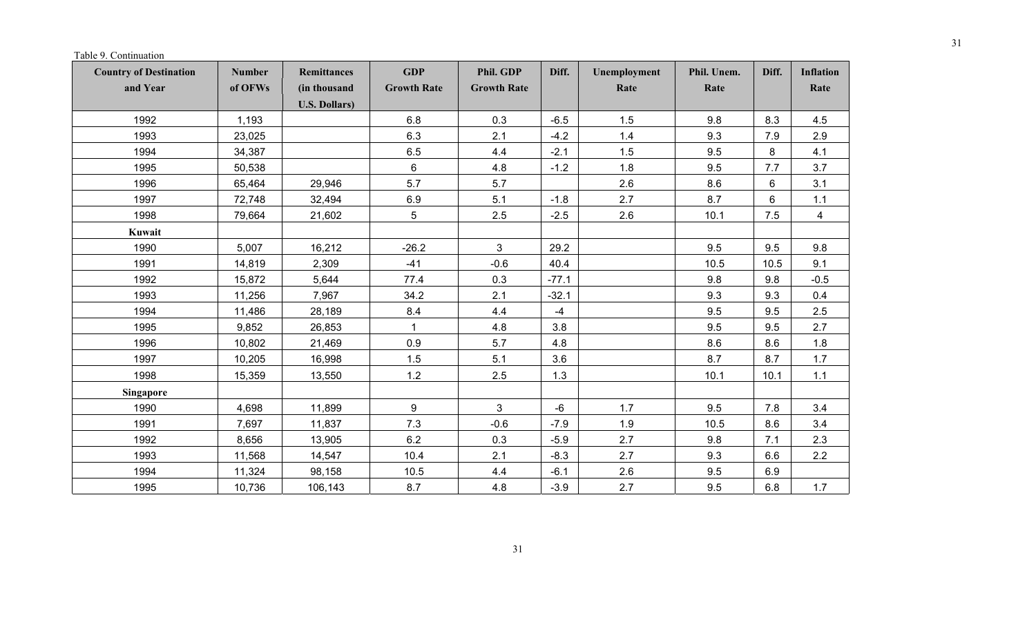Table 9. Continuation

| <b>Country of Destination</b> | <b>Number</b> | Remittances                           | <b>GDP</b>         | Phil. GDP          | Diff.   | Unemployment | Phil. Unem. | Diff. | <b>Inflation</b> |
|-------------------------------|---------------|---------------------------------------|--------------------|--------------------|---------|--------------|-------------|-------|------------------|
| and Year                      | of OFWs       | (in thousand<br><b>U.S. Dollars</b> ) | <b>Growth Rate</b> | <b>Growth Rate</b> |         | Rate         | Rate        |       | Rate             |
| 1992                          | 1,193         |                                       | 6.8                | 0.3                | $-6.5$  | 1.5          | 9.8         | 8.3   | 4.5              |
| 1993                          | 23,025        |                                       | 6.3                | 2.1                | $-4.2$  | 1.4          | 9.3         | 7.9   | 2.9              |
| 1994                          | 34,387        |                                       | 6.5                | 4.4                | $-2.1$  | 1.5          | 9.5         | 8     | 4.1              |
| 1995                          | 50,538        |                                       | 6                  | 4.8                | $-1.2$  | 1.8          | 9.5         | 7.7   | 3.7              |
| 1996                          | 65,464        | 29,946                                | 5.7                | 5.7                |         | 2.6          | 8.6         | 6     | 3.1              |
| 1997                          | 72,748        | 32,494                                | 6.9                | 5.1                | $-1.8$  | 2.7          | 8.7         | 6     | $1.1$            |
| 1998                          | 79,664        | 21,602                                | 5                  | 2.5                | $-2.5$  | 2.6          | 10.1        | 7.5   | $\overline{4}$   |
| Kuwait                        |               |                                       |                    |                    |         |              |             |       |                  |
| 1990                          | 5,007         | 16,212                                | $-26.2$            | $\mathbf{3}$       | 29.2    |              | 9.5         | 9.5   | 9.8              |
| 1991                          | 14,819        | 2,309                                 | $-41$              | $-0.6$             | 40.4    |              | 10.5        | 10.5  | 9.1              |
| 1992                          | 15,872        | 5,644                                 | 77.4               | 0.3                | $-77.1$ |              | 9.8         | 9.8   | $-0.5$           |
| 1993                          | 11,256        | 7,967                                 | 34.2               | 2.1                | $-32.1$ |              | 9.3         | 9.3   | 0.4              |
| 1994                          | 11,486        | 28,189                                | 8.4                | 4.4                | $-4$    |              | 9.5         | 9.5   | 2.5              |
| 1995                          | 9,852         | 26,853                                | $\mathbf{1}$       | 4.8                | 3.8     |              | 9.5         | 9.5   | 2.7              |
| 1996                          | 10,802        | 21,469                                | 0.9                | 5.7                | 4.8     |              | 8.6         | 8.6   | 1.8              |
| 1997                          | 10,205        | 16,998                                | 1.5                | 5.1                | 3.6     |              | 8.7         | 8.7   | 1.7              |
| 1998                          | 15,359        | 13,550                                | 1.2                | 2.5                | 1.3     |              | 10.1        | 10.1  | $1.1$            |
| <b>Singapore</b>              |               |                                       |                    |                    |         |              |             |       |                  |
| 1990                          | 4,698         | 11,899                                | $\boldsymbol{9}$   | $\mathbf{3}$       | $-6$    | 1.7          | 9.5         | 7.8   | 3.4              |
| 1991                          | 7,697         | 11,837                                | 7.3                | $-0.6$             | $-7.9$  | 1.9          | 10.5        | 8.6   | 3.4              |
| 1992                          | 8,656         | 13,905                                | 6.2                | 0.3                | $-5.9$  | 2.7          | 9.8         | 7.1   | 2.3              |
| 1993                          | 11,568        | 14,547                                | 10.4               | 2.1                | $-8.3$  | 2.7          | 9.3         | 6.6   | 2.2              |
| 1994                          | 11,324        | 98,158                                | 10.5               | 4.4                | $-6.1$  | 2.6          | 9.5         | 6.9   |                  |
| 1995                          | 10,736        | 106,143                               | 8.7                | 4.8                | $-3.9$  | 2.7          | 9.5         | 6.8   | 1.7              |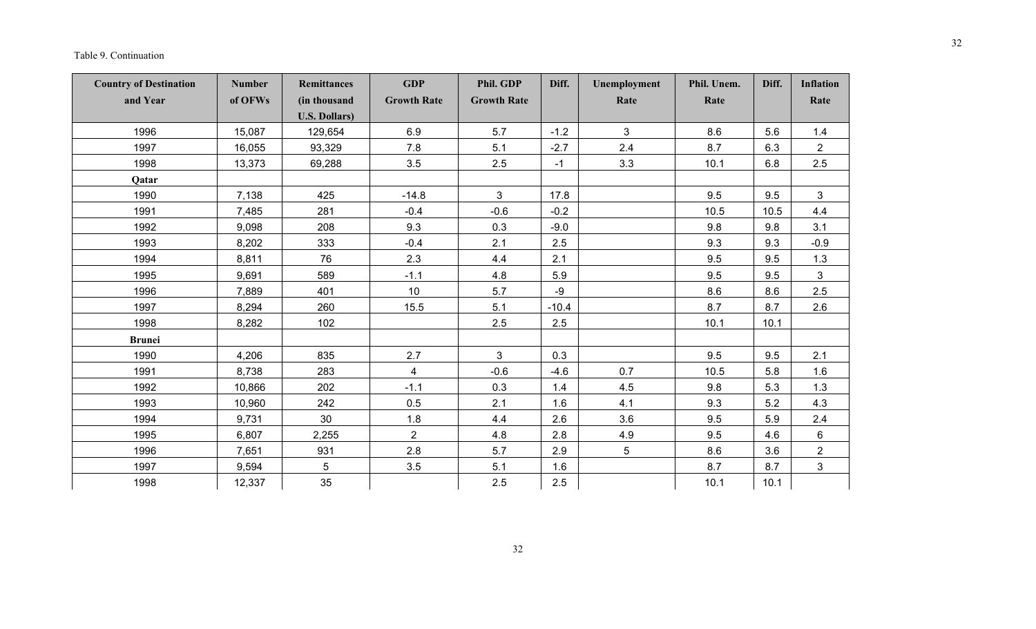### Table 9. Continuation

| <b>Country of Destination</b> | <b>Number</b> | <b>Remittances</b>    | <b>GDP</b>              | Phil. GDP          | Diff.   | Unemployment | Phil. Unem. | Diff. | <b>Inflation</b> |
|-------------------------------|---------------|-----------------------|-------------------------|--------------------|---------|--------------|-------------|-------|------------------|
| and Year                      | of OFWs       | (in thousand          | <b>Growth Rate</b>      | <b>Growth Rate</b> |         | Rate         | Rate        |       | Rate             |
|                               |               | <b>U.S. Dollars</b> ) |                         |                    |         |              |             |       |                  |
| 1996                          | 15,087        | 129,654               | 6.9                     | 5.7                | $-1.2$  | 3            | 8.6         | 5.6   | 1.4              |
| 1997                          | 16,055        | 93,329                | 7.8                     | 5.1                | $-2.7$  | 2.4          | 8.7         | 6.3   | $\overline{2}$   |
| 1998                          | 13,373        | 69,288                | 3.5                     | 2.5                | $-1$    | 3.3          | 10.1        | 6.8   | 2.5              |
| Qatar                         |               |                       |                         |                    |         |              |             |       |                  |
| 1990                          | 7,138         | 425                   | $-14.8$                 | $\mathbf{3}$       | 17.8    |              | 9.5         | 9.5   | 3                |
| 1991                          | 7,485         | 281                   | $-0.4$                  | $-0.6$             | $-0.2$  |              | 10.5        | 10.5  | 4.4              |
| 1992                          | 9,098         | 208                   | 9.3                     | 0.3                | $-9.0$  |              | 9.8         | 9.8   | 3.1              |
| 1993                          | 8,202         | 333                   | $-0.4$                  | 2.1                | 2.5     |              | 9.3         | 9.3   | $-0.9$           |
| 1994                          | 8,811         | 76                    | 2.3                     | 4.4                | 2.1     |              | 9.5         | 9.5   | 1.3              |
| 1995                          | 9,691         | 589                   | $-1.1$                  | 4.8                | 5.9     |              | 9.5         | 9.5   | 3                |
| 1996                          | 7,889         | 401                   | 10 <sup>°</sup>         | 5.7                | $-9$    |              | 8.6         | 8.6   | 2.5              |
| 1997                          | 8,294         | 260                   | 15.5                    | 5.1                | $-10.4$ |              | 8.7         | 8.7   | 2.6              |
| 1998                          | 8,282         | 102                   |                         | 2.5                | 2.5     |              | 10.1        | 10.1  |                  |
| <b>Brunei</b>                 |               |                       |                         |                    |         |              |             |       |                  |
| 1990                          | 4,206         | 835                   | 2.7                     | $\mathbf{3}$       | 0.3     |              | 9.5         | 9.5   | 2.1              |
| 1991                          | 8,738         | 283                   | $\overline{\mathbf{4}}$ | $-0.6$             | $-4.6$  | 0.7          | 10.5        | 5.8   | 1.6              |
| 1992                          | 10,866        | 202                   | $-1.1$                  | 0.3                | 1.4     | 4.5          | 9.8         | 5.3   | 1.3              |
| 1993                          | 10,960        | 242                   | 0.5                     | 2.1                | 1.6     | 4.1          | 9.3         | 5.2   | 4.3              |
| 1994                          | 9,731         | 30                    | 1.8                     | 4.4                | 2.6     | 3.6          | 9.5         | 5.9   | 2.4              |
| 1995                          | 6,807         | 2,255                 | $\overline{2}$          | 4.8                | 2.8     | 4.9          | 9.5         | 4.6   | 6                |
| 1996                          | 7,651         | 931                   | 2.8                     | 5.7                | 2.9     | 5            | 8.6         | 3.6   | $\overline{2}$   |
| 1997                          | 9,594         | 5                     | 3.5                     | 5.1                | 1.6     |              | 8.7         | 8.7   | $\mathbf{3}$     |
| 1998                          | 12,337        | 35                    |                         | 2.5                | 2.5     |              | 10.1        | 10.1  |                  |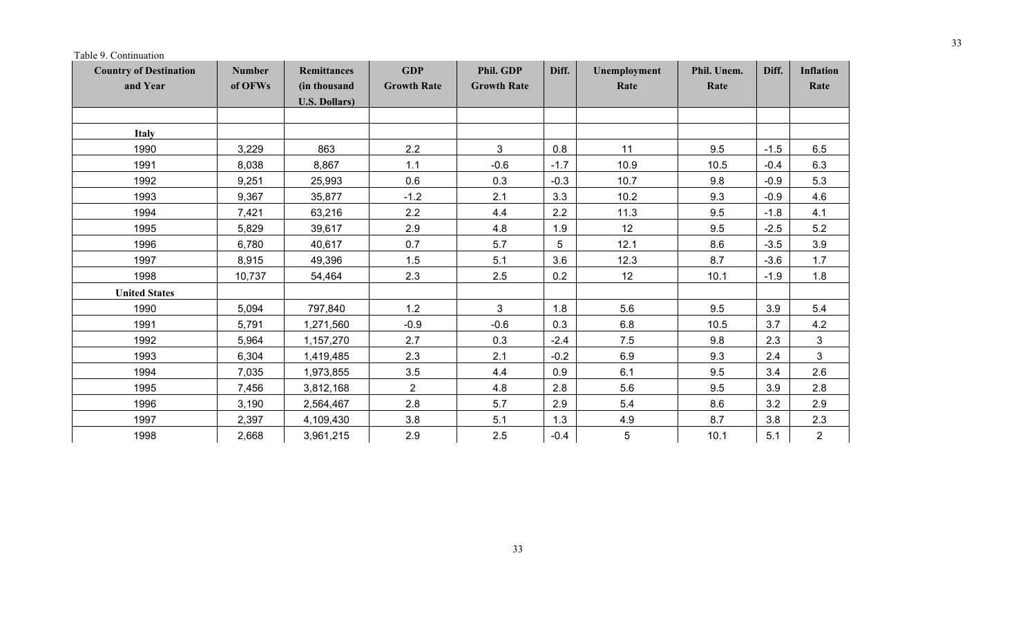Table 9. Continuation

| <b>Country of Destination</b> | <b>Number</b> | Remittances           | <b>GDP</b>         | Phil. GDP          | Diff.  | Unemployment | Phil. Unem. | Diff.  | <b>Inflation</b> |
|-------------------------------|---------------|-----------------------|--------------------|--------------------|--------|--------------|-------------|--------|------------------|
| and Year                      | of OFWs       | (in thousand          | <b>Growth Rate</b> | <b>Growth Rate</b> |        | Rate         | Rate        |        | Rate             |
|                               |               | <b>U.S. Dollars</b> ) |                    |                    |        |              |             |        |                  |
| Italy                         |               |                       |                    |                    |        |              |             |        |                  |
| 1990                          | 3,229         | 863                   | 2.2                | 3                  | 0.8    | 11           | 9.5         | $-1.5$ | 6.5              |
| 1991                          | 8,038         | 8,867                 | 1.1                | $-0.6$             | $-1.7$ | 10.9         | 10.5        | $-0.4$ | 6.3              |
| 1992                          | 9,251         | 25,993                | 0.6                | 0.3                | $-0.3$ | 10.7         | 9.8         | $-0.9$ | 5.3              |
| 1993                          | 9,367         | 35,877                | $-1.2$             | 2.1                | 3.3    | 10.2         | 9.3         | $-0.9$ | 4.6              |
| 1994                          | 7,421         | 63,216                | 2.2                | 4.4                | 2.2    | 11.3         | 9.5         | $-1.8$ | 4.1              |
| 1995                          | 5,829         | 39,617                | 2.9                | 4.8                | 1.9    | 12           | 9.5         | $-2.5$ | 5.2              |
| 1996                          | 6,780         | 40,617                | 0.7                | 5.7                | 5      | 12.1         | 8.6         | $-3.5$ | 3.9              |
| 1997                          | 8,915         | 49,396                | 1.5                | 5.1                | 3.6    | 12.3         | 8.7         | $-3.6$ | 1.7              |
| 1998                          | 10,737        | 54,464                | 2.3                | 2.5                | 0.2    | 12           | 10.1        | $-1.9$ | 1.8              |
| <b>United States</b>          |               |                       |                    |                    |        |              |             |        |                  |
| 1990                          | 5,094         | 797,840               | 1.2                | 3                  | 1.8    | 5.6          | 9.5         | 3.9    | 5.4              |
| 1991                          | 5,791         | 1,271,560             | $-0.9$             | $-0.6$             | 0.3    | 6.8          | 10.5        | 3.7    | 4.2              |
| 1992                          | 5,964         | 1,157,270             | 2.7                | 0.3                | $-2.4$ | 7.5          | 9.8         | 2.3    | 3                |
| 1993                          | 6,304         | 1,419,485             | 2.3                | 2.1                | $-0.2$ | 6.9          | 9.3         | 2.4    | $\mathbf{3}$     |
| 1994                          | 7,035         | 1,973,855             | 3.5                | 4.4                | 0.9    | 6.1          | 9.5         | 3.4    | 2.6              |
| 1995                          | 7,456         | 3,812,168             | $\overline{2}$     | 4.8                | 2.8    | 5.6          | 9.5         | 3.9    | 2.8              |
| 1996                          | 3,190         | 2,564,467             | 2.8                | 5.7                | 2.9    | 5.4          | 8.6         | 3.2    | 2.9              |
| 1997                          | 2,397         | 4,109,430             | 3.8                | 5.1                | 1.3    | 4.9          | 8.7         | 3.8    | 2.3              |
| 1998                          | 2,668         | 3,961,215             | 2.9                | 2.5                | $-0.4$ | 5            | 10.1        | 5.1    | $\overline{2}$   |

 $\overline{\phantom{a}}$ 

 $\overline{\phantom{a}}$ 

and the state

-